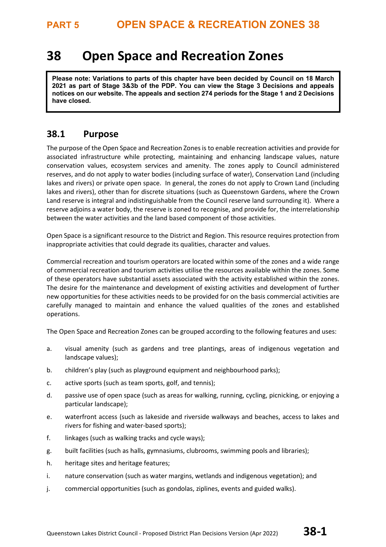# **38 Open Space and Recreation Zones**

**Please note: Variations to parts of this chapter have been decided by Council on 18 March 2021 as part of Stage 3&3b of the PDP. You can view the Stage 3 Decisions and appeals notices on our website. The appeals and section 274 periods for the Stage 1 and 2 Decisions have closed.**

### **38.1 Purpose**

The purpose of the Open Space and Recreation Zonesis to enable recreation activities and provide for associated infrastructure while protecting, maintaining and enhancing landscape values, nature conservation values, ecosystem services and amenity. The zones apply to Council administered reserves, and do not apply to water bodies (including surface of water), Conservation Land (including lakes and rivers) or private open space. In general, the zones do not apply to Crown Land (including lakes and rivers), other than for discrete situations (such as Queenstown Gardens, where the Crown Land reserve is integral and indistinguishable from the Council reserve land surrounding it). Where a reserve adjoins a water body, the reserve is zoned to recognise, and provide for, the interrelationship between the water activities and the land based component of those activities.

Open Space is a significant resource to the District and Region. This resource requires protection from inappropriate activities that could degrade its qualities, character and values.

Commercial recreation and tourism operators are located within some of the zones and a wide range of commercial recreation and tourism activities utilise the resources available within the zones. Some of these operators have substantial assets associated with the activity established within the zones. The desire for the maintenance and development of existing activities and development of further new opportunities for these activities needs to be provided for on the basis commercial activities are carefully managed to maintain and enhance the valued qualities of the zones and established operations.

The Open Space and Recreation Zones can be grouped according to the following features and uses:

- a. visual amenity (such as gardens and tree plantings, areas of indigenous vegetation and landscape values);
- b. children's play (such as playground equipment and neighbourhood parks);
- c. active sports (such as team sports, golf, and tennis);
- d. passive use of open space (such as areas for walking, running, cycling, picnicking, or enjoying a particular landscape);
- e. waterfront access (such as lakeside and riverside walkways and beaches, access to lakes and rivers for fishing and water-based sports);
- f. linkages (such as walking tracks and cycle ways);
- g. built facilities (such as halls, gymnasiums, clubrooms, swimming pools and libraries);
- h. heritage sites and heritage features;
- i. nature conservation (such as water margins, wetlands and indigenous vegetation); and
- j. commercial opportunities (such as gondolas, ziplines, events and guided walks).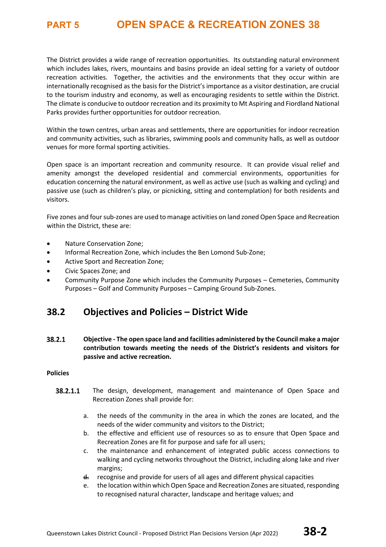The District provides a wide range of recreation opportunities. Its outstanding natural environment which includes lakes, rivers, mountains and basins provide an ideal setting for a variety of outdoor recreation activities. Together, the activities and the environments that they occur within are internationally recognised as the basis for the District's importance as a visitor destination, are crucial to the tourism industry and economy, as well as encouraging residents to settle within the District. The climate is conducive to outdoor recreation and its proximity to Mt Aspiring and Fiordland National Parks provides further opportunities for outdoor recreation.

Within the town centres, urban areas and settlements, there are opportunities for indoor recreation and community activities, such as libraries, swimming pools and community halls, as well as outdoor venues for more formal sporting activities.

Open space is an important recreation and community resource. It can provide visual relief and amenity amongst the developed residential and commercial environments, opportunities for education concerning the natural environment, as well as active use (such as walking and cycling) and passive use (such as children's play, or picnicking, sitting and contemplation) for both residents and visitors.

Five zones and four sub-zones are used to manage activities on land zoned Open Space and Recreation within the District, these are:

- Nature Conservation Zone;
- Informal Recreation Zone, which includes the Ben Lomond Sub-Zone;
- Active Sport and Recreation Zone;
- Civic Spaces Zone; and
- Community Purpose Zone which includes the Community Purposes Cemeteries, Community Purposes – Golf and Community Purposes – Camping Ground Sub-Zones.

### **38.2 Objectives and Policies – District Wide**

38.2.1 **Objective - The open space land and facilities administered by the Council make a major contribution towards meeting the needs of the District's residents and visitors for passive and active recreation.** 

### **Policies**

- 38.2.1.1 The design, development, management and maintenance of Open Space and Recreation Zones shall provide for:
	- a. the needs of the community in the area in which the zones are located, and the needs of the wider community and visitors to the District;
	- b. the effective and efficient use of resources so as to ensure that Open Space and Recreation Zones are fit for purpose and safe for all users;
	- c. the maintenance and enhancement of integrated public access connections to walking and cycling networks throughout the District, including along lake and river margins;
	- d. recognise and provide for users of all ages and different physical capacities
	- e. the location within which Open Space and Recreation Zones are situated, responding to recognised natural character, landscape and heritage values; and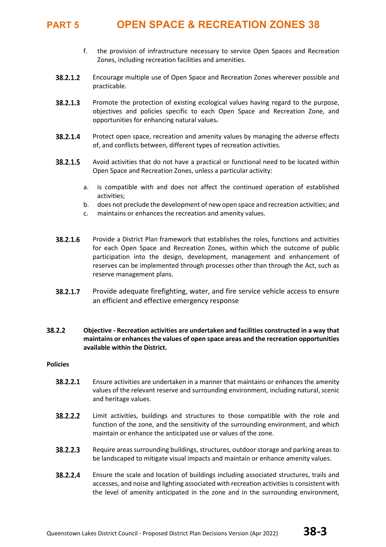- f. the provision of infrastructure necessary to service Open Spaces and Recreation Zones, including recreation facilities and amenities.
- 38.2.1.2 Encourage multiple use of Open Space and Recreation Zones wherever possible and practicable.
- 38.2.1.3 Promote the protection of existing ecological values having regard to the purpose, objectives and policies specific to each Open Space and Recreation Zone, and opportunities for enhancing natural values.
- 38.2.1.4 Protect open space, recreation and amenity values by managing the adverse effects of, and conflicts between, different types of recreation activities.
- 38.2.1.5 Avoid activities that do not have a practical or functional need to be located within Open Space and Recreation Zones, unless a particular activity:
	- a. is compatible with and does not affect the continued operation of established activities;
	- b. does not preclude the development of new open space and recreation activities; and
	- c. maintains or enhances the recreation and amenity values.
- 38.2.1.6 Provide a District Plan framework that establishes the roles, functions and activities for each Open Space and Recreation Zones, within which the outcome of public participation into the design, development, management and enhancement of reserves can be implemented through processes other than through the Act, such as reserve management plans.
- Provide adequate firefighting, water, and fire service vehicle access to ensure 38.2.1.7 an efficient and effective emergency response

### 38.2.2 **Objective - Recreation activities are undertaken and facilities constructed in a way that maintains or enhances the values of open space areas and the recreation opportunities available within the District.**

### **Policies**

- 38.2.2.1 Ensure activities are undertaken in a manner that maintains or enhances the amenity values of the relevant reserve and surrounding environment, including natural, scenic and heritage values.
- 38.2.2.2 Limit activities, buildings and structures to those compatible with the role and function of the zone, and the sensitivity of the surrounding environment, and which maintain or enhance the anticipated use or values of the zone.
- 38.2.2.3 Require areas surrounding buildings, structures, outdoor storage and parking areas to be landscaped to mitigate visual impacts and maintain or enhance amenity values.
- 38.2.2.4 Ensure the scale and location of buildings including associated structures, trails and accesses, and noise and lighting associated with recreation activities is consistent with the level of amenity anticipated in the zone and in the surrounding environment,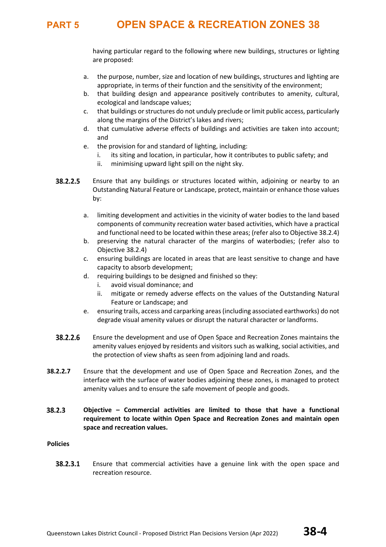having particular regard to the following where new buildings, structures or lighting are proposed:

- a. the purpose, number, size and location of new buildings, structures and lighting are appropriate, in terms of their function and the sensitivity of the environment;
- b. that building design and appearance positively contributes to amenity, cultural, ecological and landscape values;
- c. that buildings or structures do not unduly preclude or limit public access, particularly along the margins of the District's lakes and rivers;
- d. that cumulative adverse effects of buildings and activities are taken into account; and
- e. the provision for and standard of lighting, including:
	- i. its siting and location, in particular, how it contributes to public safety; and
	- ii. minimising upward light spill on the night sky.
- 38.2.2.5 Ensure that any buildings or structures located within, adjoining or nearby to an Outstanding Natural Feature or Landscape, protect, maintain or enhance those values by:
	- a. limiting development and activities in the vicinity of water bodies to the land based components of community recreation water based activities, which have a practical and functional need to be located within these areas; (refer also to Objective 38.2.4)
	- b. preserving the natural character of the margins of waterbodies; (refer also to Objective 38.2.4)
	- c. ensuring buildings are located in areas that are least sensitive to change and have capacity to absorb development;
	- d. requiring buildings to be designed and finished so they:
		- i. avoid visual dominance; and
		- ii. mitigate or remedy adverse effects on the values of the Outstanding Natural Feature or Landscape; and
	- e. ensuring trails, access and carparking areas (including associated earthworks) do not degrade visual amenity values or disrupt the natural character or landforms.
- 38.2.2.6 Ensure the development and use of Open Space and Recreation Zones maintains the amenity values enjoyed by residents and visitors such as walking, social activities, and the protection of view shafts as seen from adjoining land and roads.
- **38.2.2.7** Ensure that the development and use of Open Space and Recreation Zones, and the interface with the surface of water bodies adjoining these zones, is managed to protect amenity values and to ensure the safe movement of people and goods.
- 38.2.3 **Objective – Commercial activities are limited to those that have a functional requirement to locate within Open Space and Recreation Zones and maintain open space and recreation values.**

### **Policies**

38.2.3.1 Ensure that commercial activities have a genuine link with the open space and recreation resource.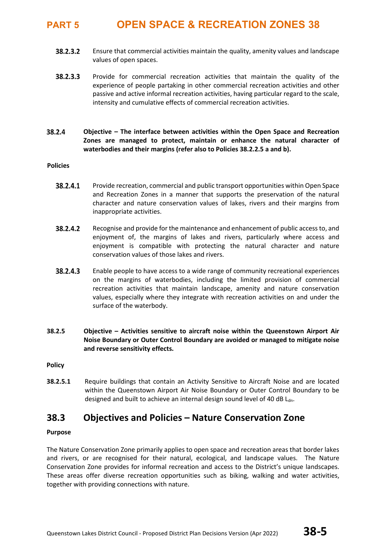- 38.2.3.2 Ensure that commercial activities maintain the quality, amenity values and landscape values of open spaces.
- 38.2.3.3 Provide for commercial recreation activities that maintain the quality of the experience of people partaking in other commercial recreation activities and other passive and active informal recreation activities, having particular regard to the scale, intensity and cumulative effects of commercial recreation activities.
- 38.2.4 **Objective – The interface between activities within the Open Space and Recreation Zones are managed to protect, maintain or enhance the natural character of waterbodies and their margins (refer also to Policies 38.2.2.5 a and b).**

### **Policies**

- 38.2.4.1 Provide recreation, commercial and public transport opportunities within Open Space and Recreation Zones in a manner that supports the preservation of the natural character and nature conservation values of lakes, rivers and their margins from inappropriate activities.
- 38.2.4.2 Recognise and provide for the maintenance and enhancement of public access to, and enjoyment of, the margins of lakes and rivers, particularly where access and enjoyment is compatible with protecting the natural character and nature conservation values of those lakes and rivers.
- 38.2.4.3 Enable people to have access to a wide range of community recreational experiences on the margins of waterbodies, including the limited provision of commercial recreation activities that maintain landscape, amenity and nature conservation values, especially where they integrate with recreation activities on and under the surface of the waterbody.
- **38.2.5 Objective – Activities sensitive to aircraft noise within the Queenstown Airport Air Noise Boundary or Outer Control Boundary are avoided or managed to mitigate noise and reverse sensitivity effects.**

**Policy**

**38.2.5.1** Require buildings that contain an Activity Sensitive to Aircraft Noise and are located within the Queenstown Airport Air Noise Boundary or Outer Control Boundary to be designed and built to achieve an internal design sound level of 40 dB L<sub>dn</sub>.

### **38.3 Objectives and Policies – Nature Conservation Zone**

### **Purpose**

The Nature Conservation Zone primarily applies to open space and recreation areas that border lakes and rivers, or are recognised for their natural, ecological, and landscape values. The Nature Conservation Zone provides for informal recreation and access to the District's unique landscapes. These areas offer diverse recreation opportunities such as biking, walking and water activities, together with providing connections with nature.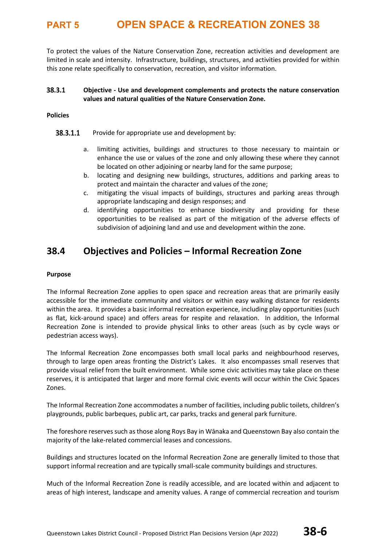To protect the values of the Nature Conservation Zone, recreation activities and development are limited in scale and intensity. Infrastructure, buildings, structures, and activities provided for within this zone relate specifically to conservation, recreation, and visitor information.

#### 38.3.1 **Objective - Use and development complements and protects the nature conservation values and natural qualities of the Nature Conservation Zone.**

### **Policies**

- 38.3.1.1 Provide for appropriate use and development by:
	- a. limiting activities, buildings and structures to those necessary to maintain or enhance the use or values of the zone and only allowing these where they cannot be located on other adjoining or nearby land for the same purpose;
	- b. locating and designing new buildings, structures, additions and parking areas to protect and maintain the character and values of the zone;
	- c. mitigating the visual impacts of buildings, structures and parking areas through appropriate landscaping and design responses; and
	- d. identifying opportunities to enhance biodiversity and providing for these opportunities to be realised as part of the mitigation of the adverse effects of subdivision of adjoining land and use and development within the zone.

### **38.4 Objectives and Policies – Informal Recreation Zone**

### **Purpose**

The Informal Recreation Zone applies to open space and recreation areas that are primarily easily accessible for the immediate community and visitors or within easy walking distance for residents within the area. It provides a basic informal recreation experience, including play opportunities (such as flat, kick-around space) and offers areas for respite and relaxation. In addition, the Informal Recreation Zone is intended to provide physical links to other areas (such as by cycle ways or pedestrian access ways).

The Informal Recreation Zone encompasses both small local parks and neighbourhood reserves, through to large open areas fronting the District's Lakes. It also encompasses small reserves that provide visual relief from the built environment. While some civic activities may take place on these reserves, it is anticipated that larger and more formal civic events will occur within the Civic Spaces Zones.

The Informal Recreation Zone accommodates a number of facilities, including public toilets, children's playgrounds, public barbeques, public art, car parks, tracks and general park furniture.

The foreshore reserves such as those along Roys Bay in Wānaka and Queenstown Bay also contain the majority of the lake-related commercial leases and concessions.

Buildings and structures located on the Informal Recreation Zone are generally limited to those that support informal recreation and are typically small-scale community buildings and structures.

Much of the Informal Recreation Zone is readily accessible, and are located within and adjacent to areas of high interest, landscape and amenity values. A range of commercial recreation and tourism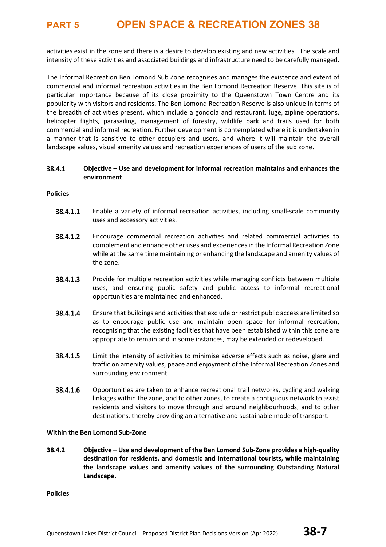activities exist in the zone and there is a desire to develop existing and new activities. The scale and intensity of these activities and associated buildings and infrastructure need to be carefully managed.

The Informal Recreation Ben Lomond Sub Zone recognises and manages the existence and extent of commercial and informal recreation activities in the Ben Lomond Recreation Reserve. This site is of particular importance because of its close proximity to the Queenstown Town Centre and its popularity with visitors and residents. The Ben Lomond Recreation Reserve is also unique in terms of the breadth of activities present, which include a gondola and restaurant, luge, zipline operations, helicopter flights, parasailing, management of forestry, wildlife park and trails used for both commercial and informal recreation. Further development is contemplated where it is undertaken in a manner that is sensitive to other occupiers and users, and where it will maintain the overall landscape values, visual amenity values and recreation experiences of users of the sub zone.

#### 38.4.1 **Objective – Use and development for informal recreation maintains and enhances the environment**

### **Policies**

- 38.4.1.1 Enable a variety of informal recreation activities, including small-scale community uses and accessory activities.
- 38.4.1.2 Encourage commercial recreation activities and related commercial activities to complement and enhance other uses and experiences in the Informal Recreation Zone while at the same time maintaining or enhancing the landscape and amenity values of the zone.
- 38.4.1.3 Provide for multiple recreation activities while managing conflicts between multiple uses, and ensuring public safety and public access to informal recreational opportunities are maintained and enhanced.
- 38.4.1.4 Ensure that buildings and activities that exclude or restrict public access are limited so as to encourage public use and maintain open space for informal recreation, recognising that the existing facilities that have been established within this zone are appropriate to remain and in some instances, may be extended or redeveloped.
- 38.4.1.5 Limit the intensity of activities to minimise adverse effects such as noise, glare and traffic on amenity values, peace and enjoyment of the Informal Recreation Zones and surrounding environment.
- 38.4.1.6 Opportunities are taken to enhance recreational trail networks, cycling and walking linkages within the zone, and to other zones, to create a contiguous network to assist residents and visitors to move through and around neighbourhoods, and to other destinations, thereby providing an alternative and sustainable mode of transport.

### **Within the Ben Lomond Sub-Zone**

**38.4.2 Objective – Use and development of the Ben Lomond Sub-Zone provides a high-quality destination for residents, and domestic and international tourists, while maintaining the landscape values and amenity values of the surrounding Outstanding Natural Landscape.**

**Policies**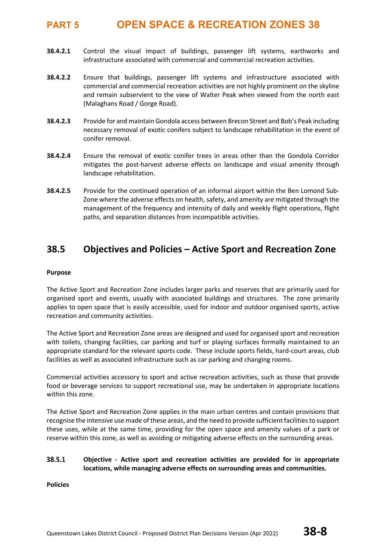- **38.4.2.1** Control the visual impact of buildings, passenger lift systems, earthworks and infrastructure associated with commercial and commercial recreation activities.
- **38.4.2.2** Ensure that buildings, passenger lift systems and infrastructure associated with commercial and commercial recreation activities are not highly prominent on the skyline and remain subservient to the view of Walter Peak when viewed from the north east (Malaghans Road / Gorge Road).
- **38.4.2.3** Provide for and maintain Gondola access between Brecon Street and Bob's Peak including necessary removal of exotic conifers subject to landscape rehabilitation in the event of conifer removal.
- **38.4.2.4** Ensure the removal of exotic conifer trees in areas other than the Gondola Corridor mitigates the post-harvest adverse effects on landscape and visual amenity through landscape rehabilitation.
- **38.4.2.5** Provide for the continued operation of an informal airport within the Ben Lomond Sub-Zone where the adverse effects on health, safety, and amenity are mitigated through the management of the frequency and intensity of daily and weekly flight operations, flight paths, and separation distances from incompatible activities.

### **38.5 Objectives and Policies – Active Sport and Recreation Zone**

### **Purpose**

The Active Sport and Recreation Zone includes larger parks and reserves that are primarily used for organised sport and events, usually with associated buildings and structures. The zone primarily applies to open space that is easily accessible, used for indoor and outdoor organised sports, active recreation and community activities.

The Active Sport and Recreation Zone areas are designed and used for organised sport and recreation with toilets, changing facilities, car parking and turf or playing surfaces formally maintained to an appropriate standard for the relevant sports code. These include sports fields, hard-court areas, club facilities as well as associated infrastructure such as car parking and changing rooms.

Commercial activities accessory to sport and active recreation activities, such as those that provide food or beverage services to support recreational use, may be undertaken in appropriate locations within this zone.

The Active Sport and Recreation Zone applies in the main urban centres and contain provisions that recognise the intensive use made of these areas, and the need to provide sufficient facilities to support these uses, while at the same time, providing for the open space and amenity values of a park or reserve within this zone, as well as avoiding or mitigating adverse effects on the surrounding areas.

#### 38.5.1 **Objective - Active sport and recreation activities are provided for in appropriate locations, while managing adverse effects on surrounding areas and communities.**

**Policies**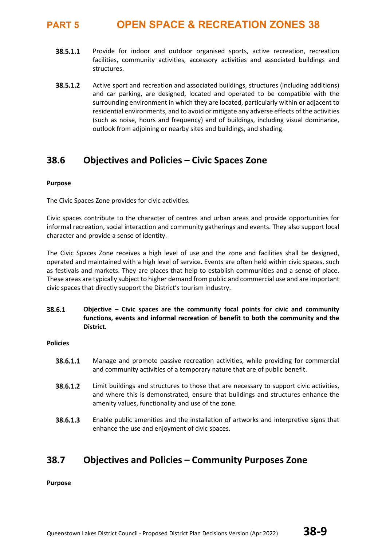- 38.5.1.1 Provide for indoor and outdoor organised sports, active recreation, recreation facilities, community activities, accessory activities and associated buildings and structures.
- 38.5.1.2 Active sport and recreation and associated buildings, structures (including additions) and car parking, are designed, located and operated to be compatible with the surrounding environment in which they are located, particularly within or adjacent to residential environments, and to avoid or mitigate any adverse effects of the activities (such as noise, hours and frequency) and of buildings, including visual dominance, outlook from adjoining or nearby sites and buildings, and shading.

### **38.6 Objectives and Policies – Civic Spaces Zone**

### **Purpose**

The Civic Spaces Zone provides for civic activities.

Civic spaces contribute to the character of centres and urban areas and provide opportunities for informal recreation, social interaction and community gatherings and events. They also support local character and provide a sense of identity.

The Civic Spaces Zone receives a high level of use and the zone and facilities shall be designed, operated and maintained with a high level of service. Events are often held within civic spaces, such as festivals and markets. They are places that help to establish communities and a sense of place. These areas are typically subject to higher demand from public and commercial use and are important civic spaces that directly support the District's tourism industry.

38.6.1 **Objective – Civic spaces are the community focal points for civic and community functions, events and informal recreation of benefit to both the community and the District.**

### **Policies**

- 38.6.1.1 Manage and promote passive recreation activities, while providing for commercial and community activities of a temporary nature that are of public benefit.
- 38.6.1.2 Limit buildings and structures to those that are necessary to support civic activities, and where this is demonstrated, ensure that buildings and structures enhance the amenity values, functionality and use of the zone.
- 38.6.1.3 Enable public amenities and the installation of artworks and interpretive signs that enhance the use and enjoyment of civic spaces.

### **38.7 Objectives and Policies – Community Purposes Zone**

**Purpose**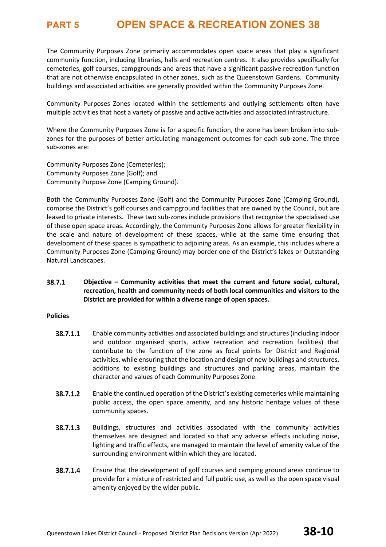The Community Purposes Zone primarily accommodates open space areas that play a significant community function, including libraries, halls and recreation centres. It also provides specifically for cemeteries, golf courses, campgrounds and areas that have a significant passive recreation function that are not otherwise encapsulated in other zones, such as the Queenstown Gardens. Community buildings and associated activities are generally provided within the Community Purposes Zone.

Community Purposes Zones located within the settlements and outlying settlements often have multiple activities that host a variety of passive and active activities and associated infrastructure.

Where the Community Purposes Zone is for a specific function, the zone has been broken into subzones for the purposes of better articulating management outcomes for each sub-zone. The three sub-zones are:

Community Purposes Zone (Cemeteries); Community Purposes Zone (Golf); and Community Purpose Zone (Camping Ground).

Both the Community Purposes Zone (Golf) and the Community Purposes Zone (Camping Ground), comprise the District's golf courses and campground facilities that are owned by the Council, but are leased to private interests. These two sub-zones include provisions that recognise the specialised use of these open space areas. Accordingly, the Community Purposes Zone allows for greater flexibility in the scale and nature of development of these spaces, while at the same time ensuring that development of these spaces is sympathetic to adjoining areas. As an example, this includes where a Community Purposes Zone (Camping Ground) may border one of the District's lakes or Outstanding Natural Landscapes.

### 38.7.1 **Objective – Community activities that meet the current and future social, cultural, recreation, health and community needs of both local communities and visitors to the District are provided for within a diverse range of open spaces.**

### **Policies**

- 38.7.1.1 Enable community activities and associated buildings and structures (including indoor and outdoor organised sports, active recreation and recreation facilities) that contribute to the function of the zone as focal points for District and Regional activities, while ensuring that the location and design of new buildings and structures, additions to existing buildings and structures and parking areas, maintain the character and values of each Community Purposes Zone.
- 38.7.1.2 Enable the continued operation of the District's existing cemeteries while maintaining public access, the open space amenity, and any historic heritage values of these community spaces.
- 38.7.1.3 Buildings, structures and activities associated with the community activities themselves are designed and located so that any adverse effects including noise, lighting and traffic effects, are managed to maintain the level of amenity value of the surrounding environment within which they are located.
- 38.7.1.4 Ensure that the development of golf courses and camping ground areas continue to provide for a mixture of restricted and full public use, as well as the open space visual amenity enjoyed by the wider public.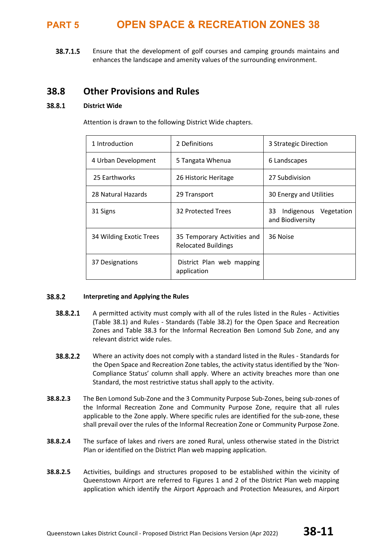38.7.1.5 Ensure that the development of golf courses and camping grounds maintains and enhances the landscape and amenity values of the surrounding environment.

### **38.8 Other Provisions and Rules**

#### 38.8.1 **District Wide**

Attention is drawn to the following District Wide chapters.

| 1 Introduction          | 2 Definitions                                             | 3 Strategic Direction                           |  |  |  |
|-------------------------|-----------------------------------------------------------|-------------------------------------------------|--|--|--|
| 4 Urban Development     | 5 Tangata Whenua                                          | 6 Landscapes                                    |  |  |  |
| 25 Earthworks           | 26 Historic Heritage                                      | 27 Subdivision                                  |  |  |  |
| 28 Natural Hazards      | 29 Transport                                              | 30 Energy and Utilities                         |  |  |  |
| 31 Signs                | 32 Protected Trees                                        | Indigenous Vegetation<br>33<br>and Biodiversity |  |  |  |
| 34 Wilding Exotic Trees | 35 Temporary Activities and<br><b>Relocated Buildings</b> | 36 Noise                                        |  |  |  |
| 37 Designations         | District Plan web mapping<br>application                  |                                                 |  |  |  |

#### 38.8.2 **Interpreting and Applying the Rules**

- 38.8.2.1 A permitted activity must comply with all of the rules listed in the Rules - Activities (Table 38.1) and Rules - Standards (Table 38.2) for the Open Space and Recreation Zones and Table 38.3 for the Informal Recreation Ben Lomond Sub Zone, and any relevant district wide rules.
- 38.8.2.2 Where an activity does not comply with a standard listed in the Rules - Standards for the Open Space and Recreation Zone tables, the activity status identified by the 'Non-Compliance Status' column shall apply. Where an activity breaches more than one Standard, the most restrictive status shall apply to the activity.
- **38.8.2.3** The Ben Lomond Sub-Zone and the 3 Community Purpose Sub-Zones, being sub-zones of the Informal Recreation Zone and Community Purpose Zone, require that all rules applicable to the Zone apply. Where specific rules are identified for the sub-zone, these shall prevail over the rules of the Informal Recreation Zone or Community Purpose Zone.
- **38.8.2.4** The surface of lakes and rivers are zoned Rural, unless otherwise stated in the District Plan or identified on the District Plan web mapping application.
- **38.8.2.5** Activities, buildings and structures proposed to be established within the vicinity of Queenstown Airport are referred to Figures 1 and 2 of the District Plan web mapping application which identify the Airport Approach and Protection Measures, and Airport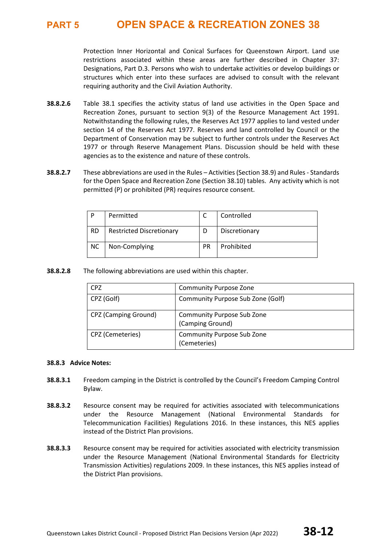Protection Inner Horizontal and Conical Surfaces for Queenstown Airport. Land use restrictions associated within these areas are further described in Chapter 37: Designations, Part D.3. Persons who wish to undertake activities or develop buildings or structures which enter into these surfaces are advised to consult with the relevant requiring authority and the Civil Aviation Authority.

- **38.8.2.6** Table 38.1 specifies the activity status of land use activities in the Open Space and Recreation Zones, pursuant to section 9(3) of the Resource Management Act 1991. Notwithstanding the following rules, the Reserves Act 1977 applies to land vested under section 14 of the Reserves Act 1977. Reserves and land controlled by Council or the Department of Conservation may be subject to further controls under the Reserves Act 1977 or through Reserve Management Plans. Discussion should be held with these agencies as to the existence and nature of these controls.
- **38.8.2.7** These abbreviations are used in the Rules Activities (Section 38.9) and Rules Standards for the Open Space and Recreation Zone (Section 38.10) tables. Any activity which is not permitted (P) or prohibited (PR) requires resource consent.

| D         | Permitted                       |    | Controlled    |
|-----------|---------------------------------|----|---------------|
| <b>RD</b> | <b>Restricted Discretionary</b> | D  | Discretionary |
| <b>NC</b> | Non-Complying                   | PR | Prohibited    |

**38.8.2.8** The following abbreviations are used within this chapter.

| <b>CPZ</b>                  | <b>Community Purpose Zone</b>                         |
|-----------------------------|-------------------------------------------------------|
| CPZ (Golf)                  | Community Purpose Sub Zone (Golf)                     |
| <b>CPZ (Camping Ground)</b> | <b>Community Purpose Sub Zone</b><br>(Camping Ground) |
| CPZ (Cemeteries)            | <b>Community Purpose Sub Zone</b><br>(Cemeteries)     |

### **38.8.3 Advice Notes:**

- **38.8.3.1** Freedom camping in the District is controlled by the Council's Freedom Camping Control Bylaw.
- **38.8.3.2** Resource consent may be required for activities associated with telecommunications under the Resource Management (National Environmental Standards for Telecommunication Facilities) Regulations 2016. In these instances, this NES applies instead of the District Plan provisions.
- **38.8.3.3** Resource consent may be required for activities associated with electricity transmission under the Resource Management (National Environmental Standards for Electricity Transmission Activities) regulations 2009. In these instances, this NES applies instead of the District Plan provisions.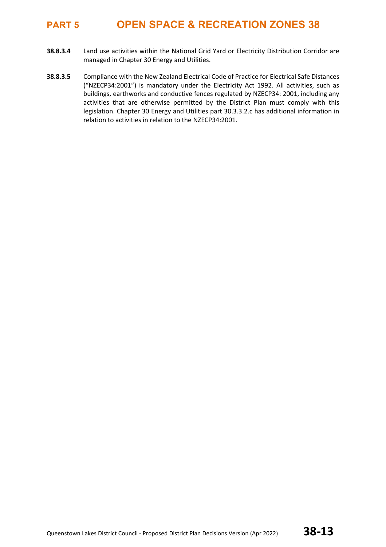- **38.8.3.4** Land use activities within the National Grid Yard or Electricity Distribution Corridor are managed in Chapter 30 Energy and Utilities.
- **38.8.3.5** Compliance with the New Zealand Electrical Code of Practice for Electrical Safe Distances ("NZECP34:2001") is mandatory under the Electricity Act 1992. All activities, such as buildings, earthworks and conductive fences regulated by NZECP34: 2001, including any activities that are otherwise permitted by the District Plan must comply with this legislation. Chapter 30 Energy and Utilities part 30.3.3.2.c has additional information in relation to activities in relation to the NZECP34:2001.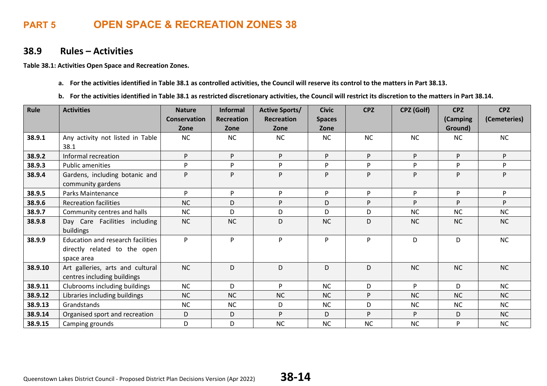### **38.9 Rules – Activities**

**Table 38.1: Activities Open Space and Recreation Zones.** 

- **a. For the activities identified in Table 38.1 as controlled activities, the Council will reserve its control to the matters in Part 38.13.**
- **b. For the activities identified in Table 38.1 as restricted discretionary activities, the Council will restrict its discretion to the matters in Part 38.14.**

| Rule    | <b>Activities</b>                                                                      | <b>Nature</b>       | <b>Informal</b> | <b>Active Sports/</b> | <b>Civic</b>  | <b>CPZ</b> | <b>CPZ (Golf)</b> | <b>CPZ</b> | <b>CPZ</b>   |
|---------|----------------------------------------------------------------------------------------|---------------------|-----------------|-----------------------|---------------|------------|-------------------|------------|--------------|
|         |                                                                                        | <b>Conservation</b> | Recreation      | <b>Recreation</b>     | <b>Spaces</b> |            |                   | (Camping   | (Cemeteries) |
|         |                                                                                        | Zone                | Zone            | Zone                  | Zone          |            |                   | Ground)    |              |
| 38.9.1  | Any activity not listed in Table                                                       | <b>NC</b>           | <b>NC</b>       | <b>NC</b>             | <b>NC</b>     | <b>NC</b>  | NC                | <b>NC</b>  | <b>NC</b>    |
|         | 38.1                                                                                   |                     |                 |                       |               |            |                   |            |              |
| 38.9.2  | Informal recreation                                                                    | P.                  | P               | P.                    | P             | P          | P                 | P.         | P            |
| 38.9.3  | <b>Public amenities</b>                                                                | Þ.                  | P               | P                     | P             | P          | P                 | P          | P            |
| 38.9.4  | Gardens, including botanic and<br>community gardens                                    | P                   | P               | P                     | P             | P          | P                 | P          | P            |
| 38.9.5  | <b>Parks Maintenance</b>                                                               | D.                  | P               | P                     | P             | P          | P                 | P.         | P            |
| 38.9.6  | <b>Recreation facilities</b>                                                           | <b>NC</b>           | D               | P                     | D             | P          | P                 | <b>p</b>   | P            |
| 38.9.7  | Community centres and halls                                                            | NC                  | D               | D                     | D             | D          | NC                | NC         | <b>NC</b>    |
| 38.9.8  | Day Care Facilities including                                                          | <b>NC</b>           | <b>NC</b>       | D                     | <b>NC</b>     | D          | <b>NC</b>         | <b>NC</b>  | <b>NC</b>    |
|         | buildings                                                                              |                     |                 |                       |               |            |                   |            |              |
| 38.9.9  | <b>Education and research facilities</b><br>directly related to the open<br>space area | P                   | P               | P                     | P             | P          | D                 | D          | <b>NC</b>    |
| 38.9.10 | Art galleries, arts and cultural<br>centres including buildings                        | <b>NC</b>           | D               | D                     | D             | D          | <b>NC</b>         | <b>NC</b>  | <b>NC</b>    |
| 38.9.11 | Clubrooms including buildings                                                          | <b>NC</b>           | D               | P.                    | NC            | D          | P                 | D          | <b>NC</b>    |
| 38.9.12 | Libraries including buildings                                                          | NC                  | <b>NC</b>       | <b>NC</b>             | NC            | P          | NC                | <b>NC</b>  | <b>NC</b>    |
| 38.9.13 | Grandstands                                                                            | <b>NC</b>           | <b>NC</b>       | D                     | NC            | D          | <b>NC</b>         | NC         | <b>NC</b>    |
| 38.9.14 | Organised sport and recreation                                                         | D                   | D               | P                     | D             | P          | P                 | D          | <b>NC</b>    |
| 38.9.15 | Camping grounds                                                                        | D                   | D               | <b>NC</b>             | NC            | <b>NC</b>  | NC                | P          | <b>NC</b>    |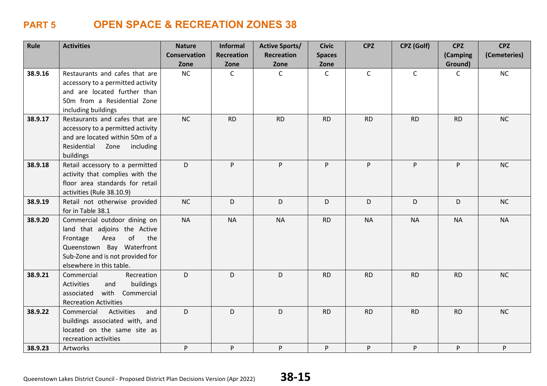| Rule    | <b>Activities</b>                                                   | <b>Nature</b>       | <b>Informal</b>   | <b>Active Sports/</b> | <b>Civic</b>  | <b>CPZ</b>   | CPZ (Golf)   | <b>CPZ</b>   | <b>CPZ</b>   |
|---------|---------------------------------------------------------------------|---------------------|-------------------|-----------------------|---------------|--------------|--------------|--------------|--------------|
|         |                                                                     | <b>Conservation</b> | <b>Recreation</b> | <b>Recreation</b>     | <b>Spaces</b> |              |              | (Camping     | (Cemeteries) |
|         |                                                                     | Zone                | Zone              | Zone                  | Zone          |              |              | Ground)      |              |
| 38.9.16 | Restaurants and cafes that are                                      | NC                  | $\mathsf{C}$      | $\mathsf{C}$          | $\mathsf{C}$  | $\mathsf{C}$ | $\mathsf{C}$ | $\mathsf{C}$ | NC           |
|         | accessory to a permitted activity<br>and are located further than   |                     |                   |                       |               |              |              |              |              |
|         | 50m from a Residential Zone                                         |                     |                   |                       |               |              |              |              |              |
|         | including buildings                                                 |                     |                   |                       |               |              |              |              |              |
| 38.9.17 | Restaurants and cafes that are                                      | NC                  | <b>RD</b>         | <b>RD</b>             | <b>RD</b>     | <b>RD</b>    | <b>RD</b>    | <b>RD</b>    | <b>NC</b>    |
|         | accessory to a permitted activity                                   |                     |                   |                       |               |              |              |              |              |
|         | and are located within 50m of a<br>Residential<br>Zone<br>including |                     |                   |                       |               |              |              |              |              |
|         | buildings                                                           |                     |                   |                       |               |              |              |              |              |
| 38.9.18 | Retail accessory to a permitted                                     | D                   | P                 | P.                    | P             | P            | P            | P.           | NC           |
|         | activity that complies with the                                     |                     |                   |                       |               |              |              |              |              |
|         | floor area standards for retail                                     |                     |                   |                       |               |              |              |              |              |
| 38.9.19 | activities (Rule 38.10.9)<br>Retail not otherwise provided          | NC                  | D                 | D                     | D             | D            | D            | D            | NC           |
|         | for in Table 38.1                                                   |                     |                   |                       |               |              |              |              |              |
| 38.9.20 | Commercial outdoor dining on                                        | <b>NA</b>           | <b>NA</b>         | <b>NA</b>             | <b>RD</b>     | <b>NA</b>    | <b>NA</b>    | <b>NA</b>    | <b>NA</b>    |
|         | land that adjoins the Active                                        |                     |                   |                       |               |              |              |              |              |
|         | of<br>Area<br>Frontage<br>the<br>Queenstown Bay Waterfront          |                     |                   |                       |               |              |              |              |              |
|         | Sub-Zone and is not provided for                                    |                     |                   |                       |               |              |              |              |              |
|         | elsewhere in this table.                                            |                     |                   |                       |               |              |              |              |              |
| 38.9.21 | Commercial<br>Recreation                                            | D                   | D                 | D                     | <b>RD</b>     | <b>RD</b>    | <b>RD</b>    | <b>RD</b>    | NC           |
|         | buildings<br><b>Activities</b><br>and                               |                     |                   |                       |               |              |              |              |              |
|         | with<br>Commercial<br>associated                                    |                     |                   |                       |               |              |              |              |              |
| 38.9.22 | <b>Recreation Activities</b><br>Commercial<br>Activities<br>and     | D                   | D                 | D                     | <b>RD</b>     | <b>RD</b>    | <b>RD</b>    | <b>RD</b>    | NC           |
|         | buildings associated with, and                                      |                     |                   |                       |               |              |              |              |              |
|         | located on the same site as                                         |                     |                   |                       |               |              |              |              |              |
|         | recreation activities                                               |                     |                   |                       |               |              |              |              |              |
| 38.9.23 | Artworks                                                            | P                   | P                 | P                     | P             | P            | P            | P            | P            |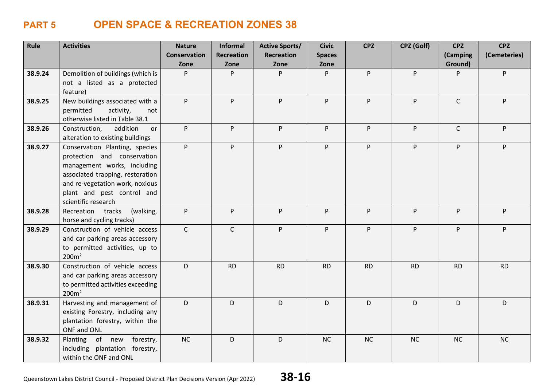| Rule    | <b>Activities</b>                      | <b>Nature</b>       | Informal          | <b>Active Sports/</b> | <b>Civic</b>  | <b>CPZ</b> | CPZ (Golf) | <b>CPZ</b>   | <b>CPZ</b>   |
|---------|----------------------------------------|---------------------|-------------------|-----------------------|---------------|------------|------------|--------------|--------------|
|         |                                        | <b>Conservation</b> | <b>Recreation</b> | <b>Recreation</b>     | <b>Spaces</b> |            |            | (Camping     | (Cemeteries) |
|         |                                        | Zone                | Zone              | Zone                  | Zone          |            |            | Ground)      |              |
| 38.9.24 | Demolition of buildings (which is      | P                   | P                 | P.                    | P             | P          | P          | P            | P            |
|         | not a listed as a protected            |                     |                   |                       |               |            |            |              |              |
|         | feature)                               |                     |                   |                       |               |            |            |              |              |
| 38.9.25 | New buildings associated with a        | P                   | P                 | P.                    | P             | P          | P          | $\mathsf{C}$ | P            |
|         | permitted<br>activity,<br>not          |                     |                   |                       |               |            |            |              |              |
|         | otherwise listed in Table 38.1         |                     |                   |                       |               |            |            |              |              |
| 38.9.26 | addition<br>Construction,<br><b>or</b> | P                   | P                 | P.                    | P             | P          | P          | $\mathsf{C}$ | P            |
|         | alteration to existing buildings       |                     |                   |                       |               |            |            |              |              |
| 38.9.27 | Conservation Planting, species         | P                   | P                 | P                     | P             | P          | P          | P.           | P.           |
|         | protection and conservation            |                     |                   |                       |               |            |            |              |              |
|         | management works, including            |                     |                   |                       |               |            |            |              |              |
|         | associated trapping, restoration       |                     |                   |                       |               |            |            |              |              |
|         | and re-vegetation work, noxious        |                     |                   |                       |               |            |            |              |              |
|         | plant and pest control and             |                     |                   |                       |               |            |            |              |              |
|         | scientific research                    |                     |                   |                       |               |            |            |              |              |
| 38.9.28 | Recreation tracks<br>(walking,         | P                   | P                 | P.                    | P             | P.         | P          | P            | P.           |
|         | horse and cycling tracks)              |                     |                   |                       |               |            |            |              |              |
| 38.9.29 | Construction of vehicle access         | $\mathsf{C}$        | $\mathsf{C}$      | P                     | P             | P          | P          | P            | P            |
|         | and car parking areas accessory        |                     |                   |                       |               |            |            |              |              |
|         | to permitted activities, up to         |                     |                   |                       |               |            |            |              |              |
|         | 200m <sup>2</sup>                      |                     |                   |                       |               |            |            |              |              |
| 38.9.30 | Construction of vehicle access         | D                   | <b>RD</b>         | <b>RD</b>             | <b>RD</b>     | <b>RD</b>  | <b>RD</b>  | <b>RD</b>    | <b>RD</b>    |
|         | and car parking areas accessory        |                     |                   |                       |               |            |            |              |              |
|         | to permitted activities exceeding      |                     |                   |                       |               |            |            |              |              |
|         | 200m <sup>2</sup>                      |                     |                   |                       |               |            |            |              |              |
| 38.9.31 | Harvesting and management of           | D                   | D.                | D                     | D             | D          | D          | D            | D            |
|         | existing Forestry, including any       |                     |                   |                       |               |            |            |              |              |
|         | plantation forestry, within the        |                     |                   |                       |               |            |            |              |              |
|         | ONF and ONL                            |                     |                   |                       |               |            |            |              |              |
| 38.9.32 | Planting of new<br>forestry,           | NC                  | D                 | D                     | <b>NC</b>     | NC         | NC         | NC           | NC           |
|         | including plantation forestry,         |                     |                   |                       |               |            |            |              |              |
|         | within the ONF and ONL                 |                     |                   |                       |               |            |            |              |              |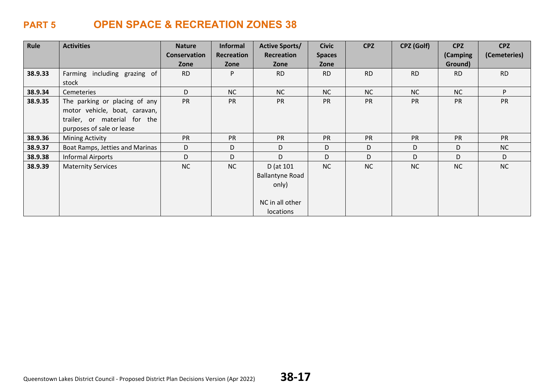| Rule    | <b>Activities</b>               | <b>Nature</b> | <b>Informal</b> | <b>Active Sports/</b>  | <b>Civic</b>  | <b>CPZ</b> | CPZ (Golf) | <b>CPZ</b> | <b>CPZ</b>   |
|---------|---------------------------------|---------------|-----------------|------------------------|---------------|------------|------------|------------|--------------|
|         |                                 | Conservation  | Recreation      | Recreation             | <b>Spaces</b> |            |            | (Camping   | (Cemeteries) |
|         |                                 | Zone          | Zone            | Zone                   | Zone          |            |            | Ground)    |              |
| 38.9.33 | Farming including grazing of    | <b>RD</b>     | P               | <b>RD</b>              | <b>RD</b>     | <b>RD</b>  | <b>RD</b>  | <b>RD</b>  | <b>RD</b>    |
|         | stock                           |               |                 |                        |               |            |            |            |              |
| 38.9.34 | Cemeteries                      | D             | NC              | NC                     | NC            | <b>NC</b>  | <b>NC</b>  | <b>NC</b>  | P            |
| 38.9.35 | The parking or placing of any   | <b>PR</b>     | <b>PR</b>       | <b>PR</b>              | <b>PR</b>     | <b>PR</b>  | <b>PR</b>  | <b>PR</b>  | PR           |
|         | motor vehicle, boat, caravan,   |               |                 |                        |               |            |            |            |              |
|         | trailer, or material for the    |               |                 |                        |               |            |            |            |              |
|         | purposes of sale or lease       |               |                 |                        |               |            |            |            |              |
| 38.9.36 | Mining Activity                 | <b>PR</b>     | <b>PR</b>       | <b>PR</b>              | <b>PR</b>     | <b>PR</b>  | <b>PR</b>  | <b>PR</b>  | <b>PR</b>    |
| 38.9.37 | Boat Ramps, Jetties and Marinas | D             | D               | D                      | D             | D          | D          | D          | <b>NC</b>    |
| 38.9.38 | <b>Informal Airports</b>        | D             | D               | D                      | D             | D          | D          | D          | D            |
| 38.9.39 | <b>Maternity Services</b>       | <b>NC</b>     | <b>NC</b>       | D (at 101              | <b>NC</b>     | <b>NC</b>  | <b>NC</b>  | <b>NC</b>  | <b>NC</b>    |
|         |                                 |               |                 | <b>Ballantyne Road</b> |               |            |            |            |              |
|         |                                 |               |                 | only)                  |               |            |            |            |              |
|         |                                 |               |                 |                        |               |            |            |            |              |
|         |                                 |               |                 | NC in all other        |               |            |            |            |              |
|         |                                 |               |                 | locations              |               |            |            |            |              |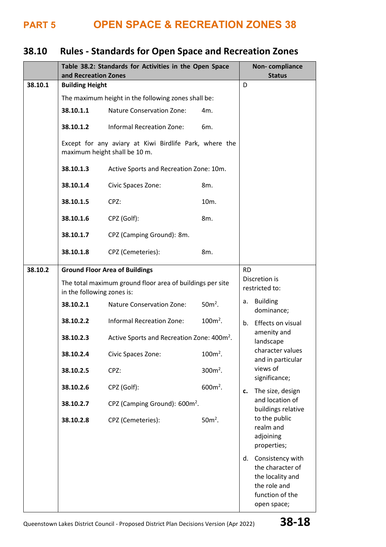# **38.10 Rules - Standards for Open Space and Recreation Zones**

|         | Table 38.2: Standards for Activities in the Open Space<br>and Recreation Zones | Non-compliance<br><b>Status</b>                                                         |                          |                                                                                                                  |  |  |
|---------|--------------------------------------------------------------------------------|-----------------------------------------------------------------------------------------|--------------------------|------------------------------------------------------------------------------------------------------------------|--|--|
| 38.10.1 | <b>Building Height</b>                                                         |                                                                                         |                          | D                                                                                                                |  |  |
|         |                                                                                | The maximum height in the following zones shall be:                                     |                          |                                                                                                                  |  |  |
|         | 38.10.1.1                                                                      | <b>Nature Conservation Zone:</b>                                                        | 4m.                      |                                                                                                                  |  |  |
|         | 38.10.1.2                                                                      | <b>Informal Recreation Zone:</b><br>6m.                                                 |                          |                                                                                                                  |  |  |
|         |                                                                                | Except for any aviary at Kiwi Birdlife Park, where the<br>maximum height shall be 10 m. |                          |                                                                                                                  |  |  |
|         | 38.10.1.3                                                                      | Active Sports and Recreation Zone: 10m.                                                 |                          |                                                                                                                  |  |  |
|         | 38.10.1.4                                                                      | Civic Spaces Zone:                                                                      | 8m.                      |                                                                                                                  |  |  |
|         | 38.10.1.5                                                                      | CPZ:                                                                                    | 10m.                     |                                                                                                                  |  |  |
|         | 38.10.1.6                                                                      | CPZ (Golf):                                                                             | 8m.                      |                                                                                                                  |  |  |
|         | 38.10.1.7                                                                      | CPZ (Camping Ground): 8m.                                                               |                          |                                                                                                                  |  |  |
|         | 38.10.1.8                                                                      | CPZ (Cemeteries):                                                                       | 8m.                      |                                                                                                                  |  |  |
| 38.10.2 |                                                                                | <b>Ground Floor Area of Buildings</b>                                                   |                          | <b>RD</b><br>Discretion is<br>restricted to:                                                                     |  |  |
|         | in the following zones is:                                                     | The total maximum ground floor area of buildings per site                               |                          |                                                                                                                  |  |  |
|         | 38.10.2.1                                                                      | <b>Nature Conservation Zone:</b>                                                        | $50m²$ .                 | <b>Building</b><br>а.<br>dominance;                                                                              |  |  |
|         | 38.10.2.2                                                                      | <b>Informal Recreation Zone:</b>                                                        | $100m^2$ .               | Effects on visual<br>b.                                                                                          |  |  |
|         | 38.10.2.3                                                                      | Active Sports and Recreation Zone: 400m <sup>2</sup> .                                  | amenity and<br>landscape |                                                                                                                  |  |  |
|         | 38.10.2.4                                                                      | Civic Spaces Zone:                                                                      | $100m^2$ .               | character values<br>and in particular                                                                            |  |  |
|         | 38.10.2.5                                                                      | CPZ:                                                                                    | $300m^2$ .               | views of<br>significance;                                                                                        |  |  |
|         | 38.10.2.6                                                                      | CPZ (Golf):                                                                             | $600m^2$ .               | The size, design<br>c.                                                                                           |  |  |
|         | 38.10.2.7                                                                      | CPZ (Camping Ground): 600m <sup>2</sup> .                                               |                          | and location of<br>buildings relative                                                                            |  |  |
|         | 38.10.2.8                                                                      | CPZ (Cemeteries):                                                                       | $50m²$ .                 | to the public<br>realm and<br>adjoining<br>properties;                                                           |  |  |
|         |                                                                                |                                                                                         |                          | Consistency with<br>d.<br>the character of<br>the locality and<br>the role and<br>function of the<br>open space; |  |  |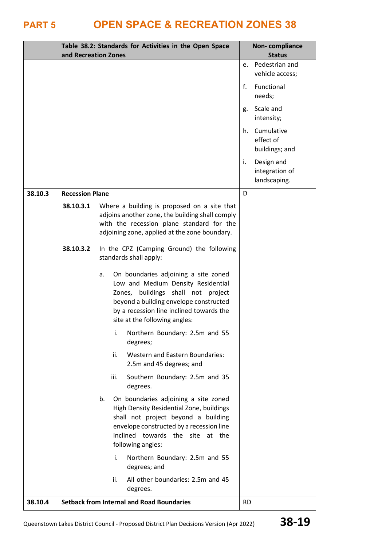|         | and Recreation Zones   |      | Table 38.2: Standards for Activities in the Open Space                                                                                                                                                                                  |           | <b>Non-compliance</b><br><b>Status</b>       |
|---------|------------------------|------|-----------------------------------------------------------------------------------------------------------------------------------------------------------------------------------------------------------------------------------------|-----------|----------------------------------------------|
|         |                        |      |                                                                                                                                                                                                                                         | e.        | Pedestrian and<br>vehicle access;            |
|         |                        |      |                                                                                                                                                                                                                                         | f.        | Functional<br>needs;                         |
|         |                        |      |                                                                                                                                                                                                                                         | g.        | Scale and<br>intensity;                      |
|         |                        |      |                                                                                                                                                                                                                                         | h.        | Cumulative<br>effect of<br>buildings; and    |
|         |                        |      |                                                                                                                                                                                                                                         | i.        | Design and<br>integration of<br>landscaping. |
| 38.10.3 | <b>Recession Plane</b> |      |                                                                                                                                                                                                                                         | D         |                                              |
|         | 38.10.3.1              |      | Where a building is proposed on a site that<br>adjoins another zone, the building shall comply<br>with the recession plane standard for the<br>adjoining zone, applied at the zone boundary.                                            |           |                                              |
|         | 38.10.3.2              |      | In the CPZ (Camping Ground) the following<br>standards shall apply:                                                                                                                                                                     |           |                                              |
|         |                        | a.   | On boundaries adjoining a site zoned<br>Low and Medium Density Residential<br>Zones, buildings shall not project<br>beyond a building envelope constructed<br>by a recession line inclined towards the<br>site at the following angles: |           |                                              |
|         |                        | i.   | Northern Boundary: 2.5m and 55<br>degrees;                                                                                                                                                                                              |           |                                              |
|         |                        | ii.  | <b>Western and Eastern Boundaries:</b><br>2.5m and 45 degrees; and                                                                                                                                                                      |           |                                              |
|         |                        | iii. | Southern Boundary: 2.5m and 35<br>degrees.                                                                                                                                                                                              |           |                                              |
|         |                        | b.   | On boundaries adjoining a site zoned<br>High Density Residential Zone, buildings<br>shall not project beyond a building<br>envelope constructed by a recession line<br>inclined towards the site<br>at the<br>following angles:         |           |                                              |
|         |                        | i.   | Northern Boundary: 2.5m and 55<br>degrees; and                                                                                                                                                                                          |           |                                              |
|         |                        | ii.  | All other boundaries: 2.5m and 45<br>degrees.                                                                                                                                                                                           |           |                                              |
| 38.10.4 |                        |      | <b>Setback from Internal and Road Boundaries</b>                                                                                                                                                                                        | <b>RD</b> |                                              |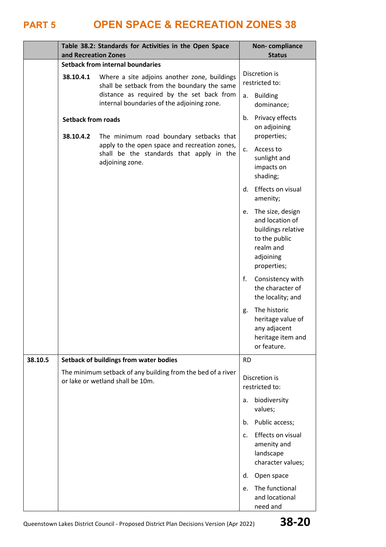|         | and Recreation Zones                   | Table 38.2: Standards for Activities in the Open Space                                                       |                | Non-compliance<br><b>Status</b>                                                                                     |
|---------|----------------------------------------|--------------------------------------------------------------------------------------------------------------|----------------|---------------------------------------------------------------------------------------------------------------------|
|         |                                        | <b>Setback from internal boundaries</b>                                                                      |                |                                                                                                                     |
|         | 38.10.4.1                              | Where a site adjoins another zone, buildings<br>shall be setback from the boundary the same                  |                | Discretion is<br>restricted to:                                                                                     |
|         |                                        | distance as required by the set back from<br>a.<br>internal boundaries of the adjoining zone.                |                | <b>Building</b><br>dominance;                                                                                       |
|         | <b>Setback from roads</b><br>38.10.4.2 | The minimum road boundary setbacks that                                                                      | b.             | Privacy effects<br>on adjoining<br>properties;                                                                      |
|         |                                        | apply to the open space and recreation zones,<br>shall be the standards that apply in the<br>adjoining zone. | $c_{\cdot}$    | Access to<br>sunlight and<br>impacts on<br>shading;                                                                 |
|         |                                        |                                                                                                              | d.             | Effects on visual<br>amenity;                                                                                       |
|         |                                        |                                                                                                              | e.             | The size, design<br>and location of<br>buildings relative<br>to the public<br>realm and<br>adjoining<br>properties; |
|         |                                        |                                                                                                              | $f_{\rm *}$    | Consistency with<br>the character of<br>the locality; and                                                           |
|         |                                        |                                                                                                              | g.             | The historic<br>heritage value of<br>any adjacent<br>heritage item and<br>or feature.                               |
| 38.10.5 |                                        | <b>Setback of buildings from water bodies</b>                                                                | <b>RD</b>      |                                                                                                                     |
|         |                                        | The minimum setback of any building from the bed of a river<br>or lake or wetland shall be 10m.              |                | Discretion is<br>restricted to:                                                                                     |
|         |                                        |                                                                                                              | a.             | biodiversity<br>values;                                                                                             |
|         |                                        |                                                                                                              | b.             | Public access;                                                                                                      |
|         |                                        |                                                                                                              | $\mathsf{C}$ . | Effects on visual<br>amenity and<br>landscape<br>character values;                                                  |
|         |                                        |                                                                                                              | d.             | Open space                                                                                                          |
|         |                                        |                                                                                                              | e.             | The functional<br>and locational<br>need and                                                                        |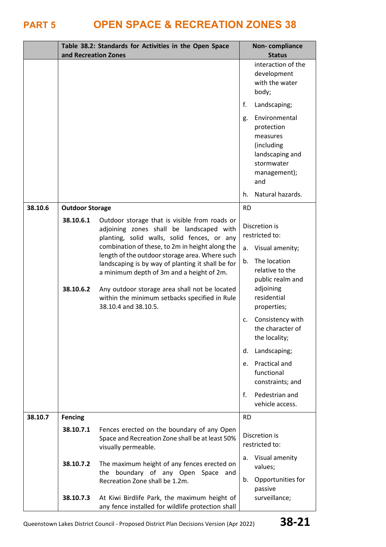|         | and Recreation Zones                                                                              | Table 38.2: Standards for Activities in the Open Space                                                                                                                                                                   |           | Non-compliance<br><b>Status</b>                                                                               |
|---------|---------------------------------------------------------------------------------------------------|--------------------------------------------------------------------------------------------------------------------------------------------------------------------------------------------------------------------------|-----------|---------------------------------------------------------------------------------------------------------------|
|         |                                                                                                   |                                                                                                                                                                                                                          |           | interaction of the<br>development<br>with the water<br>body;                                                  |
|         |                                                                                                   |                                                                                                                                                                                                                          | f.        | Landscaping;                                                                                                  |
|         |                                                                                                   |                                                                                                                                                                                                                          | g.        | Environmental<br>protection<br>measures<br>(including<br>landscaping and<br>stormwater<br>management);<br>and |
|         |                                                                                                   |                                                                                                                                                                                                                          | h.        | Natural hazards.                                                                                              |
| 38.10.6 | <b>Outdoor Storage</b><br>38.10.6.1                                                               | Outdoor storage that is visible from roads or<br>adjoining zones shall be landscaped with<br>planting, solid walls, solid fences, or any                                                                                 | <b>RD</b> | Discretion is<br>restricted to:                                                                               |
|         | combination of these, to 2m in height along the<br>length of the outdoor storage area. Where such |                                                                                                                                                                                                                          |           | Visual amenity;                                                                                               |
|         | 38.10.6.2                                                                                         | landscaping is by way of planting it shall be for<br>a minimum depth of 3m and a height of 2m.<br>Any outdoor storage area shall not be located<br>within the minimum setbacks specified in Rule<br>38.10.4 and 38.10.5. | b.        | The location<br>relative to the<br>public realm and<br>adjoining<br>residential<br>properties;                |
|         |                                                                                                   |                                                                                                                                                                                                                          | c.        | Consistency with<br>the character of<br>the locality;                                                         |
|         |                                                                                                   |                                                                                                                                                                                                                          | d.        | Landscaping;                                                                                                  |
|         |                                                                                                   |                                                                                                                                                                                                                          | e.        | Practical and<br>functional<br>constraints; and                                                               |
|         |                                                                                                   |                                                                                                                                                                                                                          | f.        | Pedestrian and<br>vehicle access.                                                                             |
| 38.10.7 | <b>Fencing</b>                                                                                    |                                                                                                                                                                                                                          | <b>RD</b> |                                                                                                               |
|         | 38.10.7.1                                                                                         | Fences erected on the boundary of any Open<br>Space and Recreation Zone shall be at least 50%<br>visually permeable.                                                                                                     |           | Discretion is<br>restricted to:                                                                               |
|         | 38.10.7.2                                                                                         | The maximum height of any fences erected on<br>the boundary of any Open Space and<br>Recreation Zone shall be 1.2m.                                                                                                      | a.<br>b.  | Visual amenity<br>values;<br>Opportunities for                                                                |
|         | 38.10.7.3                                                                                         | At Kiwi Birdlife Park, the maximum height of<br>any fence installed for wildlife protection shall                                                                                                                        |           | passive<br>surveillance;                                                                                      |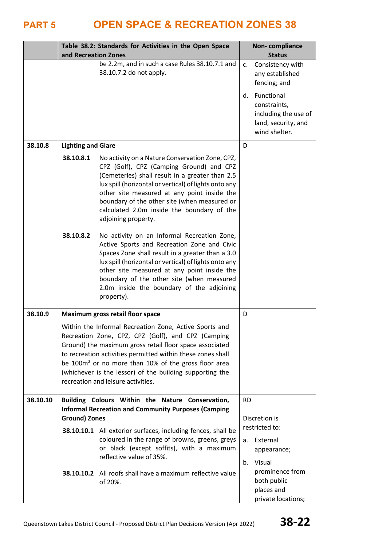|          | and Recreation Zones      | Table 38.2: Standards for Activities in the Open Space                                                                                                                                                                                                                                                                                                                                                       |                | <b>Non-compliance</b><br><b>Status</b>                                                     |
|----------|---------------------------|--------------------------------------------------------------------------------------------------------------------------------------------------------------------------------------------------------------------------------------------------------------------------------------------------------------------------------------------------------------------------------------------------------------|----------------|--------------------------------------------------------------------------------------------|
|          |                           | be 2.2m, and in such a case Rules 38.10.7.1 and<br>38.10.7.2 do not apply.                                                                                                                                                                                                                                                                                                                                   | C <sub>1</sub> | Consistency with<br>any established<br>fencing; and                                        |
|          |                           |                                                                                                                                                                                                                                                                                                                                                                                                              | $\mathsf{d}$ . | Functional<br>constraints,<br>including the use of<br>land, security, and<br>wind shelter. |
| 38.10.8  | <b>Lighting and Glare</b> |                                                                                                                                                                                                                                                                                                                                                                                                              | D              |                                                                                            |
|          | 38.10.8.1                 | No activity on a Nature Conservation Zone, CPZ,<br>CPZ (Golf), CPZ (Camping Ground) and CPZ<br>(Cemeteries) shall result in a greater than 2.5<br>lux spill (horizontal or vertical) of lights onto any<br>other site measured at any point inside the<br>boundary of the other site (when measured or<br>calculated 2.0m inside the boundary of the<br>adjoining property.                                  |                |                                                                                            |
|          | 38.10.8.2                 | No activity on an Informal Recreation Zone,<br>Active Sports and Recreation Zone and Civic<br>Spaces Zone shall result in a greater than a 3.0<br>lux spill (horizontal or vertical) of lights onto any<br>other site measured at any point inside the<br>boundary of the other site (when measured<br>2.0m inside the boundary of the adjoining<br>property).                                               |                |                                                                                            |
| 38.10.9  |                           | Maximum gross retail floor space                                                                                                                                                                                                                                                                                                                                                                             | D              |                                                                                            |
|          |                           | Within the Informal Recreation Zone, Active Sports and<br>Recreation Zone, CPZ, CPZ (Golf), and CPZ (Camping<br>Ground) the maximum gross retail floor space associated<br>to recreation activities permitted within these zones shall<br>be 100m <sup>2</sup> or no more than 10% of the gross floor area<br>(whichever is the lessor) of the building supporting the<br>recreation and leisure activities. |                |                                                                                            |
| 38.10.10 |                           | Building Colours Within the Nature Conservation,<br><b>Informal Recreation and Community Purposes (Camping</b>                                                                                                                                                                                                                                                                                               | <b>RD</b>      |                                                                                            |
|          | <b>Ground) Zones</b>      |                                                                                                                                                                                                                                                                                                                                                                                                              |                | Discretion is<br>restricted to:                                                            |
|          |                           | 38.10.10.1 All exterior surfaces, including fences, shall be<br>coloured in the range of browns, greens, greys<br>or black (except soffits), with a maximum<br>reflective value of 35%.                                                                                                                                                                                                                      | a.<br>$b_{-}$  | External<br>appearance;<br>Visual                                                          |
|          |                           | 38.10.10.2 All roofs shall have a maximum reflective value<br>of 20%.                                                                                                                                                                                                                                                                                                                                        |                | prominence from<br>both public<br>places and<br>private locations;                         |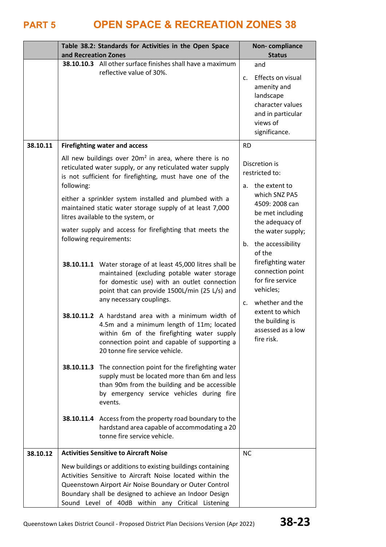|          | and Recreation Zones | Table 38.2: Standards for Activities in the Open Space                                                                                                                                                                                                                                                                                             | Non-compliance<br><b>Status</b>                                                                                                              |  |
|----------|----------------------|----------------------------------------------------------------------------------------------------------------------------------------------------------------------------------------------------------------------------------------------------------------------------------------------------------------------------------------------------|----------------------------------------------------------------------------------------------------------------------------------------------|--|
|          |                      | 38.10.10.3 All other surface finishes shall have a maximum<br>reflective value of 30%.                                                                                                                                                                                                                                                             | and<br>Effects on visual<br>$\mathsf{C}$ .<br>amenity and<br>landscape<br>character values<br>and in particular<br>views of<br>significance. |  |
| 38.10.11 |                      | <b>Firefighting water and access</b>                                                                                                                                                                                                                                                                                                               | <b>RD</b>                                                                                                                                    |  |
|          | following:           | All new buildings over $20m^2$ in area, where there is no<br>reticulated water supply, or any reticulated water supply<br>is not sufficient for firefighting, must have one of the<br>either a sprinkler system installed and plumbed with a<br>maintained static water storage supply of at least 7,000<br>litres available to the system, or     | Discretion is<br>restricted to:<br>the extent to<br>a.<br>which SNZ PA5<br>4509: 2008 can<br>be met including                                |  |
|          |                      | water supply and access for firefighting that meets the<br>following requirements:                                                                                                                                                                                                                                                                 | the adequacy of<br>the water supply;<br>the accessibility<br>b.<br>of the                                                                    |  |
|          |                      | 38.10.11.1 Water storage of at least 45,000 litres shall be<br>maintained (excluding potable water storage<br>for domestic use) with an outlet connection<br>point that can provide 1500L/min (25 L/s) and<br>any necessary couplings.                                                                                                             | firefighting water<br>connection point<br>for fire service<br>vehicles;<br>whether and the<br>C.                                             |  |
|          | 38.10.11.2           | A hardstand area with a minimum width of<br>4.5m and a minimum length of 11m; located<br>within 6m of the firefighting water supply<br>connection point and capable of supporting a<br>20 tonne fire service vehicle.                                                                                                                              | extent to which<br>the building is<br>assessed as a low<br>fire risk.                                                                        |  |
|          | 38.10.11.3           | The connection point for the firefighting water<br>supply must be located more than 6m and less<br>than 90m from the building and be accessible<br>by emergency service vehicles during fire<br>events.                                                                                                                                            |                                                                                                                                              |  |
|          |                      | 38.10.11.4 Access from the property road boundary to the<br>hardstand area capable of accommodating a 20<br>tonne fire service vehicle.                                                                                                                                                                                                            |                                                                                                                                              |  |
| 38.10.12 |                      | <b>Activities Sensitive to Aircraft Noise</b><br>New buildings or additions to existing buildings containing<br>Activities Sensitive to Aircraft Noise located within the<br>Queenstown Airport Air Noise Boundary or Outer Control<br>Boundary shall be designed to achieve an Indoor Design<br>Sound Level of 40dB within any Critical Listening | <b>NC</b>                                                                                                                                    |  |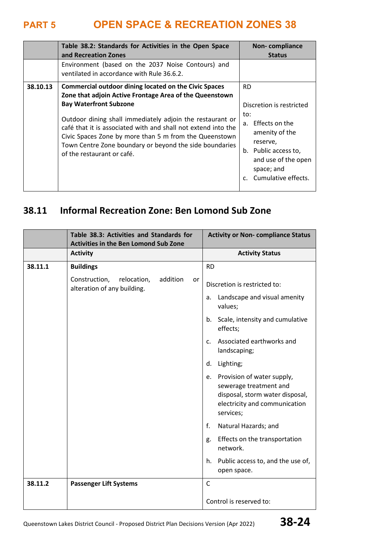|          | Table 38.2: Standards for Activities in the Open Space<br>and Recreation Zones                                                                                                                                                                                                                                                                                                                                                            | Non-compliance<br><b>Status</b>                                                                                                                                                     |
|----------|-------------------------------------------------------------------------------------------------------------------------------------------------------------------------------------------------------------------------------------------------------------------------------------------------------------------------------------------------------------------------------------------------------------------------------------------|-------------------------------------------------------------------------------------------------------------------------------------------------------------------------------------|
|          | Environment (based on the 2037 Noise Contours) and<br>ventilated in accordance with Rule 36.6.2.                                                                                                                                                                                                                                                                                                                                          |                                                                                                                                                                                     |
| 38.10.13 | <b>Commercial outdoor dining located on the Civic Spaces</b><br>Zone that adjoin Active Frontage Area of the Queenstown<br><b>Bay Waterfront Subzone</b><br>Outdoor dining shall immediately adjoin the restaurant or<br>café that it is associated with and shall not extend into the<br>Civic Spaces Zone by more than 5 m from the Queenstown<br>Town Centre Zone boundary or beyond the side boundaries<br>of the restaurant or café. | <b>RD</b><br>Discretion is restricted<br>to:<br>a. Effects on the<br>amenity of the<br>reserve,<br>b. Public access to,<br>and use of the open<br>space; and<br>Cumulative effects. |

## **38.11 Informal Recreation Zone: Ben Lomond Sub Zone**

|         | Table 38.3: Activities and Standards for<br><b>Activities in the Ben Lomond Sub Zone</b> |    | <b>Activity or Non- compliance Status</b>                                                                                                   |
|---------|------------------------------------------------------------------------------------------|----|---------------------------------------------------------------------------------------------------------------------------------------------|
|         | <b>Activity</b>                                                                          |    | <b>Activity Status</b>                                                                                                                      |
| 38.11.1 | <b>Buildings</b>                                                                         |    | <b>RD</b>                                                                                                                                   |
|         | Construction,<br>relocation,<br>addition<br>alteration of any building.                  | or | Discretion is restricted to:                                                                                                                |
|         |                                                                                          |    | Landscape and visual amenity<br>a.<br>values;                                                                                               |
|         |                                                                                          |    | Scale, intensity and cumulative<br>b.<br>effects;                                                                                           |
|         |                                                                                          |    | Associated earthworks and<br>C <sub>1</sub><br>landscaping;                                                                                 |
|         |                                                                                          |    | Lighting;<br>d.                                                                                                                             |
|         |                                                                                          |    | Provision of water supply,<br>e.<br>sewerage treatment and<br>disposal, storm water disposal,<br>electricity and communication<br>services; |
|         |                                                                                          |    | f.<br>Natural Hazards; and                                                                                                                  |
|         |                                                                                          |    | Effects on the transportation<br>g.<br>network.                                                                                             |
|         |                                                                                          |    | Public access to, and the use of,<br>h.<br>open space.                                                                                      |
| 38.11.2 | <b>Passenger Lift Systems</b>                                                            |    | $\mathsf{C}$                                                                                                                                |
|         |                                                                                          |    | Control is reserved to:                                                                                                                     |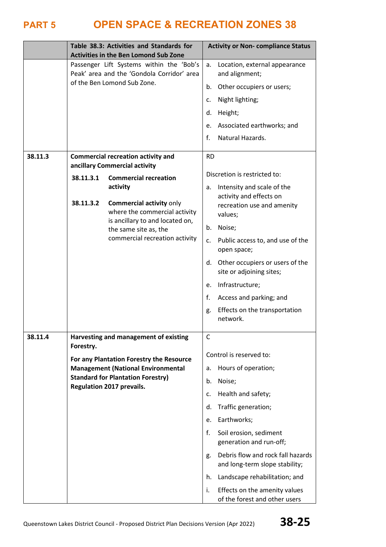|         | Table 38.3: Activities and Standards for<br><b>Activities in the Ben Lomond Sub Zone</b> |                                                                                                                                                                                                                                             | <b>Activity or Non- compliance Status</b>               |                                                                                                                                                                                                                                                                                                                                                          |
|---------|------------------------------------------------------------------------------------------|---------------------------------------------------------------------------------------------------------------------------------------------------------------------------------------------------------------------------------------------|---------------------------------------------------------|----------------------------------------------------------------------------------------------------------------------------------------------------------------------------------------------------------------------------------------------------------------------------------------------------------------------------------------------------------|
|         |                                                                                          | Passenger Lift Systems within the 'Bob's<br>Peak' area and the 'Gondola Corridor' area<br>of the Ben Lomond Sub Zone.                                                                                                                       | a.<br>b.<br>c.<br>d.<br>e.<br>$f_{\cdot}$               | Location, external appearance<br>and alignment;<br>Other occupiers or users;<br>Night lighting;<br>Height;<br>Associated earthworks; and<br>Natural Hazards.                                                                                                                                                                                             |
| 38.11.3 |                                                                                          | <b>Commercial recreation activity and</b>                                                                                                                                                                                                   | <b>RD</b>                                               |                                                                                                                                                                                                                                                                                                                                                          |
|         | 38.11.3.1<br>38.11.3.2                                                                   | ancillary Commercial activity<br><b>Commercial recreation</b><br>activity<br><b>Commercial activity only</b><br>where the commercial activity<br>is ancillary to and located on,<br>the same site as, the<br>commercial recreation activity | а.<br>b.<br>c.<br>e.<br>f.<br>g.                        | Discretion is restricted to:<br>Intensity and scale of the<br>activity and effects on<br>recreation use and amenity<br>values;<br>Noise;<br>Public access to, and use of the<br>open space;<br>d. Other occupiers or users of the<br>site or adjoining sites;<br>Infrastructure;<br>Access and parking; and<br>Effects on the transportation<br>network. |
| 38.11.4 | Forestry.                                                                                | Harvesting and management of existing<br>For any Plantation Forestry the Resource<br><b>Management (National Environmental</b><br><b>Standard for Plantation Forestry)</b><br><b>Regulation 2017 prevails.</b>                              | C<br>a.<br>b.<br>c.<br>d.<br>e.<br>f.<br>g.<br>h.<br>i. | Control is reserved to:<br>Hours of operation;<br>Noise;<br>Health and safety;<br>Traffic generation;<br>Earthworks;<br>Soil erosion, sediment<br>generation and run-off;<br>Debris flow and rock fall hazards<br>and long-term slope stability;<br>Landscape rehabilitation; and<br>Effects on the amenity values<br>of the forest and other users      |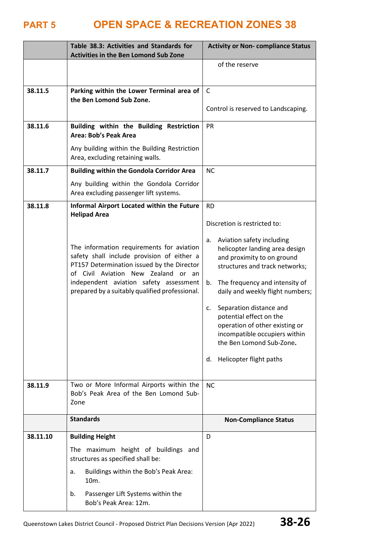|          | Table 38.3: Activities and Standards for<br><b>Activities in the Ben Lomond Sub Zone</b>                                                                                                                                                                                 | <b>Activity or Non- compliance Status</b>                                                                                                                                                                                                                                                                                                                                                                 |
|----------|--------------------------------------------------------------------------------------------------------------------------------------------------------------------------------------------------------------------------------------------------------------------------|-----------------------------------------------------------------------------------------------------------------------------------------------------------------------------------------------------------------------------------------------------------------------------------------------------------------------------------------------------------------------------------------------------------|
|          |                                                                                                                                                                                                                                                                          | of the reserve                                                                                                                                                                                                                                                                                                                                                                                            |
| 38.11.5  | Parking within the Lower Terminal area of<br>the Ben Lomond Sub Zone.                                                                                                                                                                                                    | $\mathsf{C}$<br>Control is reserved to Landscaping.                                                                                                                                                                                                                                                                                                                                                       |
| 38.11.6  | Building within the Building Restriction<br><b>Area: Bob's Peak Area</b>                                                                                                                                                                                                 | <b>PR</b>                                                                                                                                                                                                                                                                                                                                                                                                 |
|          | Any building within the Building Restriction<br>Area, excluding retaining walls.                                                                                                                                                                                         |                                                                                                                                                                                                                                                                                                                                                                                                           |
| 38.11.7  | <b>Building within the Gondola Corridor Area</b>                                                                                                                                                                                                                         | <b>NC</b>                                                                                                                                                                                                                                                                                                                                                                                                 |
|          | Any building within the Gondola Corridor<br>Area excluding passenger lift systems.                                                                                                                                                                                       |                                                                                                                                                                                                                                                                                                                                                                                                           |
| 38.11.8  | Informal Airport Located within the Future                                                                                                                                                                                                                               | <b>RD</b>                                                                                                                                                                                                                                                                                                                                                                                                 |
|          | <b>Helipad Area</b>                                                                                                                                                                                                                                                      | Discretion is restricted to:                                                                                                                                                                                                                                                                                                                                                                              |
|          | The information requirements for aviation<br>safety shall include provision of either a<br>PT157 Determination issued by the Director<br>of Civil Aviation New Zealand or an<br>independent aviation safety assessment<br>prepared by a suitably qualified professional. | Aviation safety including<br>a.<br>helicopter landing area design<br>and proximity to on ground<br>structures and track networks;<br>The frequency and intensity of<br>b.<br>daily and weekly flight numbers;<br>Separation distance and<br>c.<br>potential effect on the<br>operation of other existing or<br>incompatible occupiers within<br>the Ben Lomond Sub-Zone.<br>Helicopter flight paths<br>d. |
| 38.11.9  | Two or More Informal Airports within the<br>Bob's Peak Area of the Ben Lomond Sub-<br>Zone                                                                                                                                                                               | <b>NC</b>                                                                                                                                                                                                                                                                                                                                                                                                 |
|          | <b>Standards</b>                                                                                                                                                                                                                                                         | <b>Non-Compliance Status</b>                                                                                                                                                                                                                                                                                                                                                                              |
| 38.11.10 | <b>Building Height</b>                                                                                                                                                                                                                                                   | D                                                                                                                                                                                                                                                                                                                                                                                                         |
|          | The maximum height of buildings and<br>structures as specified shall be:                                                                                                                                                                                                 |                                                                                                                                                                                                                                                                                                                                                                                                           |
|          | Buildings within the Bob's Peak Area:<br>a.<br>10m.                                                                                                                                                                                                                      |                                                                                                                                                                                                                                                                                                                                                                                                           |
|          | Passenger Lift Systems within the<br>b.<br>Bob's Peak Area: 12m.                                                                                                                                                                                                         |                                                                                                                                                                                                                                                                                                                                                                                                           |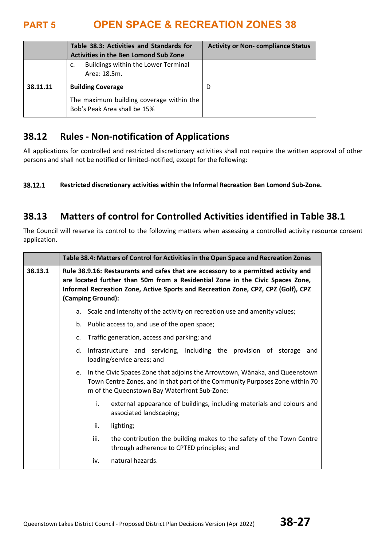|          | Table 38.3: Activities and Standards for<br><b>Activities in the Ben Lomond Sub Zone</b> | <b>Activity or Non-compliance Status</b> |
|----------|------------------------------------------------------------------------------------------|------------------------------------------|
|          | Buildings within the Lower Terminal<br>c.<br>Area: 18.5m.                                |                                          |
| 38.11.11 | <b>Building Coverage</b>                                                                 | D                                        |
|          | The maximum building coverage within the<br>Bob's Peak Area shall be 15%                 |                                          |

## **38.12 Rules - Non-notification of Applications**

All applications for controlled and restricted discretionary activities shall not require the written approval of other persons and shall not be notified or limited-notified, except for the following:

38.12.1 **Restricted discretionary activities within the Informal Recreation Ben Lomond Sub-Zone.** 

## **38.13 Matters of control for Controlled Activities identified in Table 38.1**

The Council will reserve its control to the following matters when assessing a controlled activity resource consent application.

|         | Table 38.4: Matters of Control for Activities in the Open Space and Recreation Zones                                                                                                                                                                                           |  |
|---------|--------------------------------------------------------------------------------------------------------------------------------------------------------------------------------------------------------------------------------------------------------------------------------|--|
| 38.13.1 | Rule 38.9.16: Restaurants and cafes that are accessory to a permitted activity and<br>are located further than 50m from a Residential Zone in the Civic Spaces Zone,<br>Informal Recreation Zone, Active Sports and Recreation Zone, CPZ, CPZ (Golf), CPZ<br>(Camping Ground): |  |
|         | a. Scale and intensity of the activity on recreation use and amenity values;                                                                                                                                                                                                   |  |
|         | b. Public access to, and use of the open space;                                                                                                                                                                                                                                |  |
|         | Traffic generation, access and parking; and<br>c.                                                                                                                                                                                                                              |  |
|         | Infrastructure and servicing, including the provision of storage<br>d.<br>and<br>loading/service areas; and                                                                                                                                                                    |  |
|         | In the Civic Spaces Zone that adjoins the Arrowtown, Wānaka, and Queenstown<br>e.<br>Town Centre Zones, and in that part of the Community Purposes Zone within 70<br>m of the Queenstown Bay Waterfront Sub-Zone:                                                              |  |
|         | i.<br>external appearance of buildings, including materials and colours and<br>associated landscaping;                                                                                                                                                                         |  |
|         | lighting;<br>ii.                                                                                                                                                                                                                                                               |  |
|         | the contribution the building makes to the safety of the Town Centre<br>iii.<br>through adherence to CPTED principles; and                                                                                                                                                     |  |
|         | natural hazards.<br>iv.                                                                                                                                                                                                                                                        |  |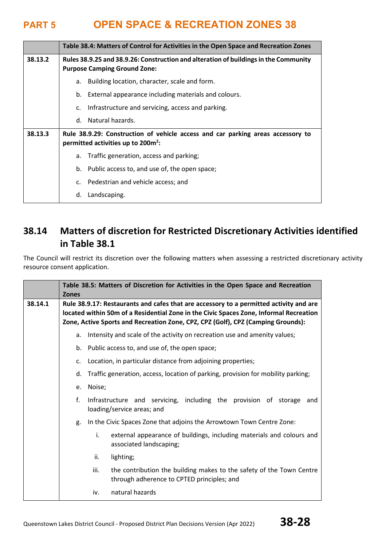|         | Table 38.4: Matters of Control for Activities in the Open Space and Recreation Zones                                              |  |
|---------|-----------------------------------------------------------------------------------------------------------------------------------|--|
| 38.13.2 | Rules 38.9.25 and 38.9.26: Construction and alteration of buildings in the Community<br><b>Purpose Camping Ground Zone:</b>       |  |
|         | Building location, character, scale and form.<br>а.                                                                               |  |
|         | External appearance including materials and colours.<br>b.                                                                        |  |
|         | Infrastructure and servicing, access and parking.<br>c.                                                                           |  |
|         | Natural hazards.<br>d.                                                                                                            |  |
| 38.13.3 | Rule 38.9.29: Construction of vehicle access and car parking areas accessory to<br>permitted activities up to 200m <sup>2</sup> : |  |
|         | Traffic generation, access and parking;<br>а.                                                                                     |  |
|         | Public access to, and use of, the open space;<br>b.                                                                               |  |
|         | Pedestrian and vehicle access; and<br>$C_{\cdot}$                                                                                 |  |
|         | Landscaping.<br>d.                                                                                                                |  |

## **38.14 Matters of discretion for Restricted Discretionary Activities identified in Table 38.1**

The Council will restrict its discretion over the following matters when assessing a restricted discretionary activity resource consent application.

|         | Table 38.5: Matters of Discretion for Activities in the Open Space and Recreation<br><b>Zones</b>                                                                                                                                                                    |                                                                                                                            |  |
|---------|----------------------------------------------------------------------------------------------------------------------------------------------------------------------------------------------------------------------------------------------------------------------|----------------------------------------------------------------------------------------------------------------------------|--|
| 38.14.1 | Rule 38.9.17: Restaurants and cafes that are accessory to a permitted activity and are<br>located within 50m of a Residential Zone in the Civic Spaces Zone, Informal Recreation<br>Zone, Active Sports and Recreation Zone, CPZ, CPZ (Golf), CPZ (Camping Grounds): |                                                                                                                            |  |
|         | a.                                                                                                                                                                                                                                                                   | Intensity and scale of the activity on recreation use and amenity values;                                                  |  |
|         | b.                                                                                                                                                                                                                                                                   | Public access to, and use of, the open space;                                                                              |  |
|         | c.                                                                                                                                                                                                                                                                   | Location, in particular distance from adjoining properties;                                                                |  |
|         | d.                                                                                                                                                                                                                                                                   | Traffic generation, access, location of parking, provision for mobility parking;                                           |  |
|         | e.                                                                                                                                                                                                                                                                   | Noise;                                                                                                                     |  |
|         | f.                                                                                                                                                                                                                                                                   | Infrastructure and servicing, including the provision of storage<br>and<br>loading/service areas; and                      |  |
|         | g.                                                                                                                                                                                                                                                                   | In the Civic Spaces Zone that adjoins the Arrowtown Town Centre Zone:                                                      |  |
|         |                                                                                                                                                                                                                                                                      | i.<br>external appearance of buildings, including materials and colours and<br>associated landscaping;                     |  |
|         |                                                                                                                                                                                                                                                                      | ii.<br>lighting;                                                                                                           |  |
|         |                                                                                                                                                                                                                                                                      | the contribution the building makes to the safety of the Town Centre<br>iii.<br>through adherence to CPTED principles; and |  |
|         |                                                                                                                                                                                                                                                                      | natural hazards<br>iv.                                                                                                     |  |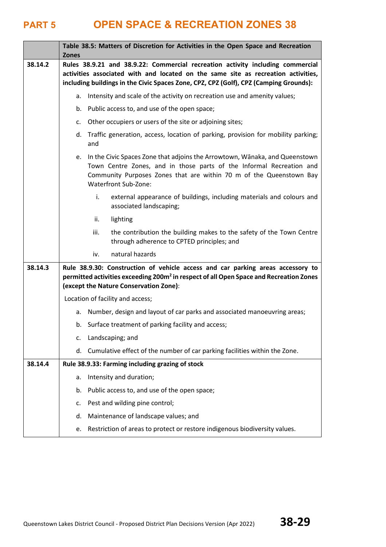|         | <b>Zones</b> | Table 38.5: Matters of Discretion for Activities in the Open Space and Recreation                                                                                                                                                                            |
|---------|--------------|--------------------------------------------------------------------------------------------------------------------------------------------------------------------------------------------------------------------------------------------------------------|
| 38.14.2 |              | Rules 38.9.21 and 38.9.22: Commercial recreation activity including commercial<br>activities associated with and located on the same site as recreation activities,<br>including buildings in the Civic Spaces Zone, CPZ, CPZ (Golf), CPZ (Camping Grounds): |
|         | a.           | Intensity and scale of the activity on recreation use and amenity values;                                                                                                                                                                                    |
|         | b.           | Public access to, and use of the open space;                                                                                                                                                                                                                 |
|         | c.           | Other occupiers or users of the site or adjoining sites;                                                                                                                                                                                                     |
|         | d.           | Traffic generation, access, location of parking, provision for mobility parking;<br>and                                                                                                                                                                      |
|         |              | e. In the Civic Spaces Zone that adjoins the Arrowtown, Wānaka, and Queenstown<br>Town Centre Zones, and in those parts of the Informal Recreation and<br>Community Purposes Zones that are within 70 m of the Queenstown Bay<br>Waterfront Sub-Zone:        |
|         |              | i.<br>external appearance of buildings, including materials and colours and<br>associated landscaping;                                                                                                                                                       |
|         |              | ii.<br>lighting                                                                                                                                                                                                                                              |
|         |              | the contribution the building makes to the safety of the Town Centre<br>iii.<br>through adherence to CPTED principles; and                                                                                                                                   |
|         |              | natural hazards<br>iv.                                                                                                                                                                                                                                       |
| 38.14.3 |              | Rule 38.9.30: Construction of vehicle access and car parking areas accessory to<br>permitted activities exceeding 200m <sup>2</sup> in respect of all Open Space and Recreation Zones<br>(except the Nature Conservation Zone):                              |
|         |              | Location of facility and access;                                                                                                                                                                                                                             |
|         | а.           | Number, design and layout of car parks and associated manoeuvring areas;                                                                                                                                                                                     |
|         |              | b. Surface treatment of parking facility and access;                                                                                                                                                                                                         |
|         | c.           | Landscaping; and                                                                                                                                                                                                                                             |
|         | d.           | Cumulative effect of the number of car parking facilities within the Zone.                                                                                                                                                                                   |
| 38.14.4 |              | Rule 38.9.33: Farming including grazing of stock                                                                                                                                                                                                             |
|         | a.           | Intensity and duration;                                                                                                                                                                                                                                      |
|         | b.           | Public access to, and use of the open space;                                                                                                                                                                                                                 |
|         | c.           | Pest and wilding pine control;                                                                                                                                                                                                                               |
|         | d.           | Maintenance of landscape values; and                                                                                                                                                                                                                         |
|         | e.           | Restriction of areas to protect or restore indigenous biodiversity values.                                                                                                                                                                                   |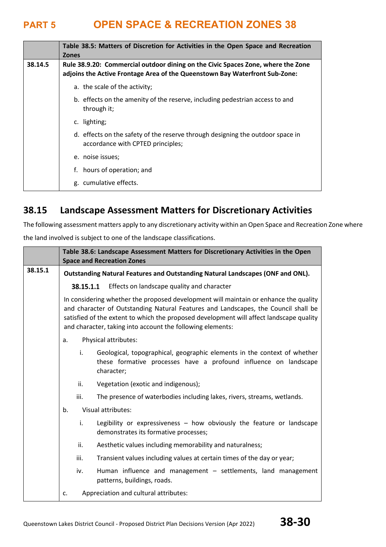|         | Table 38.5: Matters of Discretion for Activities in the Open Space and Recreation<br><b>Zones</b>                                                               |
|---------|-----------------------------------------------------------------------------------------------------------------------------------------------------------------|
| 38.14.5 | Rule 38.9.20: Commercial outdoor dining on the Civic Spaces Zone, where the Zone<br>adjoins the Active Frontage Area of the Queenstown Bay Waterfront Sub-Zone: |
|         | a. the scale of the activity;                                                                                                                                   |
|         | b. effects on the amenity of the reserve, including pedestrian access to and<br>through it;                                                                     |
|         | c. lighting;                                                                                                                                                    |
|         | d. effects on the safety of the reserve through designing the outdoor space in<br>accordance with CPTED principles;                                             |
|         | e. noise issues:                                                                                                                                                |
|         | f. hours of operation; and                                                                                                                                      |
|         | g. cumulative effects.                                                                                                                                          |

### **38.15 Landscape Assessment Matters for Discretionary Activities**

The following assessment matters apply to any discretionary activity within an Open Space and Recreation Zone where

the land involved is subject to one of the landscape classifications.

|         | Table 38.6: Landscape Assessment Matters for Discretionary Activities in the Open<br><b>Space and Recreation Zones</b>                                                                                                                                                                                                              |  |
|---------|-------------------------------------------------------------------------------------------------------------------------------------------------------------------------------------------------------------------------------------------------------------------------------------------------------------------------------------|--|
| 38.15.1 | Outstanding Natural Features and Outstanding Natural Landscapes (ONF and ONL).                                                                                                                                                                                                                                                      |  |
|         | 38.15.1.1 Effects on landscape quality and character                                                                                                                                                                                                                                                                                |  |
|         | In considering whether the proposed development will maintain or enhance the quality<br>and character of Outstanding Natural Features and Landscapes, the Council shall be<br>satisfied of the extent to which the proposed development will affect landscape quality<br>and character, taking into account the following elements: |  |
|         | Physical attributes:<br>a.                                                                                                                                                                                                                                                                                                          |  |
|         | i.<br>Geological, topographical, geographic elements in the context of whether<br>these formative processes have a profound influence on landscape<br>character;                                                                                                                                                                    |  |
|         | ii.<br>Vegetation (exotic and indigenous);                                                                                                                                                                                                                                                                                          |  |
|         | iii.<br>The presence of waterbodies including lakes, rivers, streams, wetlands.                                                                                                                                                                                                                                                     |  |
|         | Visual attributes:<br>b.                                                                                                                                                                                                                                                                                                            |  |
|         | Legibility or expressiveness $-$ how obviously the feature or landscape<br>i.<br>demonstrates its formative processes;                                                                                                                                                                                                              |  |
|         | ii.<br>Aesthetic values including memorability and naturalness;                                                                                                                                                                                                                                                                     |  |
|         | iii.<br>Transient values including values at certain times of the day or year;                                                                                                                                                                                                                                                      |  |
|         | iv.<br>Human influence and management - settlements, land management<br>patterns, buildings, roads.                                                                                                                                                                                                                                 |  |
|         | Appreciation and cultural attributes:<br>c.                                                                                                                                                                                                                                                                                         |  |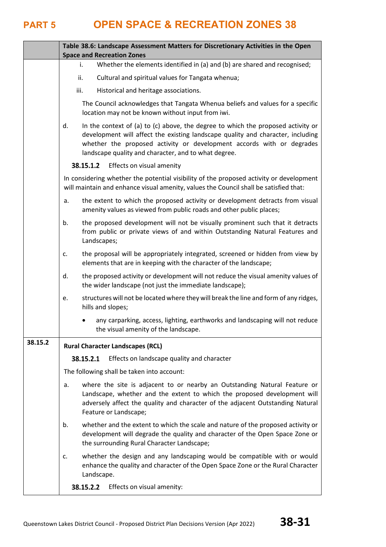|         | Table 38.6: Landscape Assessment Matters for Discretionary Activities in the Open<br><b>Space and Recreation Zones</b>                                                                                                                                                                                     |  |  |
|---------|------------------------------------------------------------------------------------------------------------------------------------------------------------------------------------------------------------------------------------------------------------------------------------------------------------|--|--|
|         | Whether the elements identified in (a) and (b) are shared and recognised;<br>İ.                                                                                                                                                                                                                            |  |  |
|         | Cultural and spiritual values for Tangata whenua;<br>ii.                                                                                                                                                                                                                                                   |  |  |
|         | iii.<br>Historical and heritage associations.                                                                                                                                                                                                                                                              |  |  |
|         | The Council acknowledges that Tangata Whenua beliefs and values for a specific<br>location may not be known without input from iwi.                                                                                                                                                                        |  |  |
|         | In the context of (a) to (c) above, the degree to which the proposed activity or<br>d.<br>development will affect the existing landscape quality and character, including<br>whether the proposed activity or development accords with or degrades<br>landscape quality and character, and to what degree. |  |  |
|         | 38.15.1.2<br>Effects on visual amenity                                                                                                                                                                                                                                                                     |  |  |
|         | In considering whether the potential visibility of the proposed activity or development<br>will maintain and enhance visual amenity, values the Council shall be satisfied that:                                                                                                                           |  |  |
|         | the extent to which the proposed activity or development detracts from visual<br>a.<br>amenity values as viewed from public roads and other public places;                                                                                                                                                 |  |  |
|         | the proposed development will not be visually prominent such that it detracts<br>b.<br>from public or private views of and within Outstanding Natural Features and<br>Landscapes;                                                                                                                          |  |  |
|         | the proposal will be appropriately integrated, screened or hidden from view by<br>c.<br>elements that are in keeping with the character of the landscape;                                                                                                                                                  |  |  |
|         | the proposed activity or development will not reduce the visual amenity values of<br>d.<br>the wider landscape (not just the immediate landscape);                                                                                                                                                         |  |  |
|         | structures will not be located where they will break the line and form of any ridges,<br>e.<br>hills and slopes;                                                                                                                                                                                           |  |  |
|         | any carparking, access, lighting, earthworks and landscaping will not reduce<br>the visual amenity of the landscape.                                                                                                                                                                                       |  |  |
| 38.15.2 | <b>Rural Character Landscapes (RCL)</b>                                                                                                                                                                                                                                                                    |  |  |
|         | 38.15.2.1<br>Effects on landscape quality and character                                                                                                                                                                                                                                                    |  |  |
|         | The following shall be taken into account:                                                                                                                                                                                                                                                                 |  |  |
|         | where the site is adjacent to or nearby an Outstanding Natural Feature or<br>a.<br>Landscape, whether and the extent to which the proposed development will<br>adversely affect the quality and character of the adjacent Outstanding Natural<br>Feature or Landscape;                                     |  |  |
|         | whether and the extent to which the scale and nature of the proposed activity or<br>b.<br>development will degrade the quality and character of the Open Space Zone or<br>the surrounding Rural Character Landscape;                                                                                       |  |  |
|         | whether the design and any landscaping would be compatible with or would<br>c.<br>enhance the quality and character of the Open Space Zone or the Rural Character<br>Landscape.                                                                                                                            |  |  |
|         | 38.15.2.2<br>Effects on visual amenity:                                                                                                                                                                                                                                                                    |  |  |
|         |                                                                                                                                                                                                                                                                                                            |  |  |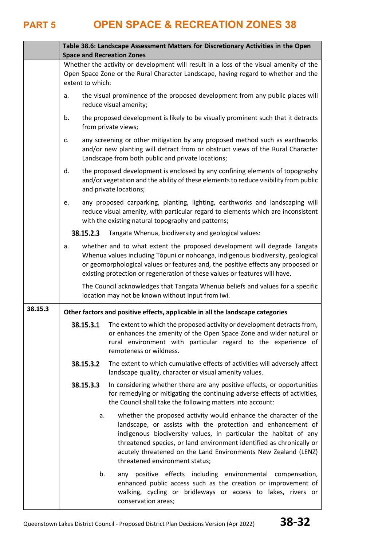|         | Table 38.6: Landscape Assessment Matters for Discretionary Activities in the Open<br><b>Space and Recreation Zones</b>                                                                                                       |                                                                                                                                                                                                                                                                                                                                                                                  |  |  |
|---------|------------------------------------------------------------------------------------------------------------------------------------------------------------------------------------------------------------------------------|----------------------------------------------------------------------------------------------------------------------------------------------------------------------------------------------------------------------------------------------------------------------------------------------------------------------------------------------------------------------------------|--|--|
|         | Whether the activity or development will result in a loss of the visual amenity of the<br>Open Space Zone or the Rural Character Landscape, having regard to whether and the<br>extent to which:                             |                                                                                                                                                                                                                                                                                                                                                                                  |  |  |
|         | a.                                                                                                                                                                                                                           | the visual prominence of the proposed development from any public places will<br>reduce visual amenity;                                                                                                                                                                                                                                                                          |  |  |
|         | b.                                                                                                                                                                                                                           | the proposed development is likely to be visually prominent such that it detracts<br>from private views;                                                                                                                                                                                                                                                                         |  |  |
|         | c.                                                                                                                                                                                                                           | any screening or other mitigation by any proposed method such as earthworks<br>and/or new planting will detract from or obstruct views of the Rural Character<br>Landscape from both public and private locations;                                                                                                                                                               |  |  |
|         | d.                                                                                                                                                                                                                           | the proposed development is enclosed by any confining elements of topography<br>and/or vegetation and the ability of these elements to reduce visibility from public<br>and private locations;                                                                                                                                                                                   |  |  |
|         | any proposed carparking, planting, lighting, earthworks and landscaping will<br>e.<br>reduce visual amenity, with particular regard to elements which are inconsistent<br>with the existing natural topography and patterns; |                                                                                                                                                                                                                                                                                                                                                                                  |  |  |
|         | 38.15.2.3<br>Tangata Whenua, biodiversity and geological values:                                                                                                                                                             |                                                                                                                                                                                                                                                                                                                                                                                  |  |  |
|         | a.                                                                                                                                                                                                                           | whether and to what extent the proposed development will degrade Tangata<br>Whenua values including Tōpuni or nohoanga, indigenous biodiversity, geological<br>or geomorphological values or features and, the positive effects any proposed or<br>existing protection or regeneration of these values or features will have.                                                    |  |  |
|         |                                                                                                                                                                                                                              | The Council acknowledges that Tangata Whenua beliefs and values for a specific<br>location may not be known without input from iwi.                                                                                                                                                                                                                                              |  |  |
| 38.15.3 | Other factors and positive effects, applicable in all the landscape categories                                                                                                                                               |                                                                                                                                                                                                                                                                                                                                                                                  |  |  |
|         | 38.15.3.1                                                                                                                                                                                                                    | The extent to which the proposed activity or development detracts from,<br>or enhances the amenity of the Open Space Zone and wider natural or<br>rural environment with particular regard to the experience of<br>remoteness or wildness.                                                                                                                                       |  |  |
|         | 38.15.3.2                                                                                                                                                                                                                    | The extent to which cumulative effects of activities will adversely affect<br>landscape quality, character or visual amenity values.                                                                                                                                                                                                                                             |  |  |
|         | 38.15.3.3                                                                                                                                                                                                                    | In considering whether there are any positive effects, or opportunities<br>for remedying or mitigating the continuing adverse effects of activities,<br>the Council shall take the following matters into account:                                                                                                                                                               |  |  |
|         | a.                                                                                                                                                                                                                           | whether the proposed activity would enhance the character of the<br>landscape, or assists with the protection and enhancement of<br>indigenous biodiversity values, in particular the habitat of any<br>threatened species, or land environment identified as chronically or<br>acutely threatened on the Land Environments New Zealand (LENZ)<br>threatened environment status; |  |  |
|         | b.                                                                                                                                                                                                                           | any positive effects including environmental compensation,<br>enhanced public access such as the creation or improvement of<br>walking, cycling or bridleways or access to lakes, rivers or<br>conservation areas;                                                                                                                                                               |  |  |